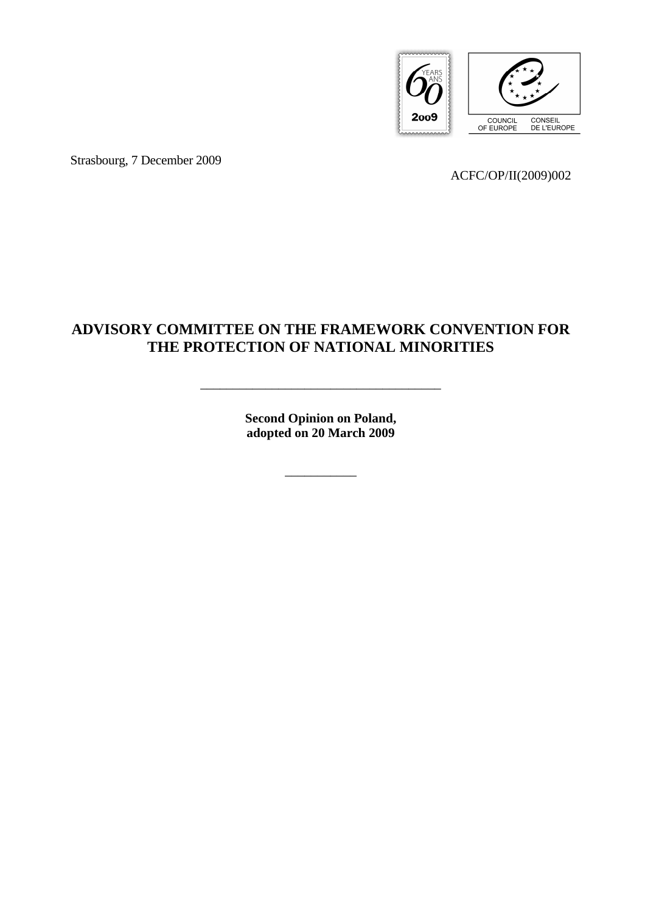

Strasbourg, 7 December 2009

ACFC/OP/II(2009)002

# **ADVISORY COMMITTEE ON THE FRAMEWORK CONVENTION FOR THE PROTECTION OF NATIONAL MINORITIES**

**Second Opinion on Poland, adopted on 20 March 2009** 

\_\_\_\_\_\_\_\_\_\_\_

\_\_\_\_\_\_\_\_\_\_\_\_\_\_\_\_\_\_\_\_\_\_\_\_\_\_\_\_\_\_\_\_\_\_\_\_\_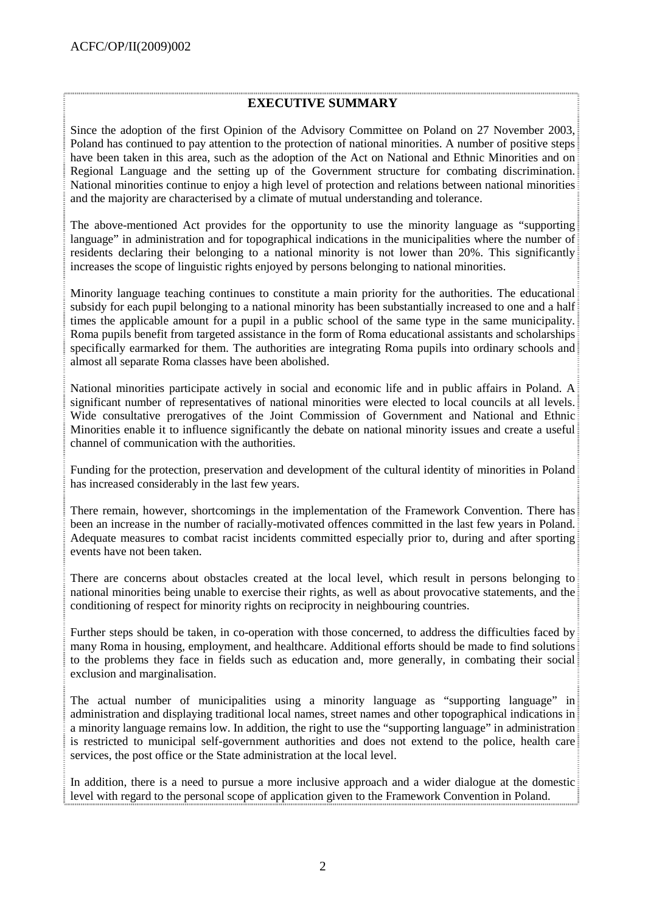### **EXECUTIVE SUMMARY**

Since the adoption of the first Opinion of the Advisory Committee on Poland on 27 November 2003, Poland has continued to pay attention to the protection of national minorities. A number of positive steps have been taken in this area, such as the adoption of the Act on National and Ethnic Minorities and on Regional Language and the setting up of the Government structure for combating discrimination. National minorities continue to enjoy a high level of protection and relations between national minorities and the majority are characterised by a climate of mutual understanding and tolerance.

The above-mentioned Act provides for the opportunity to use the minority language as "supporting language" in administration and for topographical indications in the municipalities where the number of residents declaring their belonging to a national minority is not lower than 20%. This significantly increases the scope of linguistic rights enjoyed by persons belonging to national minorities.

Minority language teaching continues to constitute a main priority for the authorities. The educational subsidy for each pupil belonging to a national minority has been substantially increased to one and a half times the applicable amount for a pupil in a public school of the same type in the same municipality. Roma pupils benefit from targeted assistance in the form of Roma educational assistants and scholarships specifically earmarked for them. The authorities are integrating Roma pupils into ordinary schools and almost all separate Roma classes have been abolished.

National minorities participate actively in social and economic life and in public affairs in Poland. A significant number of representatives of national minorities were elected to local councils at all levels. Wide consultative prerogatives of the Joint Commission of Government and National and Ethnic Minorities enable it to influence significantly the debate on national minority issues and create a useful channel of communication with the authorities.

Funding for the protection, preservation and development of the cultural identity of minorities in Poland has increased considerably in the last few years.

There remain, however, shortcomings in the implementation of the Framework Convention. There has been an increase in the number of racially-motivated offences committed in the last few years in Poland. Adequate measures to combat racist incidents committed especially prior to, during and after sporting events have not been taken.

There are concerns about obstacles created at the local level, which result in persons belonging to national minorities being unable to exercise their rights, as well as about provocative statements, and the conditioning of respect for minority rights on reciprocity in neighbouring countries.

Further steps should be taken, in co-operation with those concerned, to address the difficulties faced by many Roma in housing, employment, and healthcare. Additional efforts should be made to find solutions to the problems they face in fields such as education and, more generally, in combating their social exclusion and marginalisation.

The actual number of municipalities using a minority language as "supporting language" in administration and displaying traditional local names, street names and other topographical indications in a minority language remains low. In addition, the right to use the "supporting language" in administration is restricted to municipal self-government authorities and does not extend to the police, health care services, the post office or the State administration at the local level.

In addition, there is a need to pursue a more inclusive approach and a wider dialogue at the domestic level with regard to the personal scope of application given to the Framework Convention in Poland.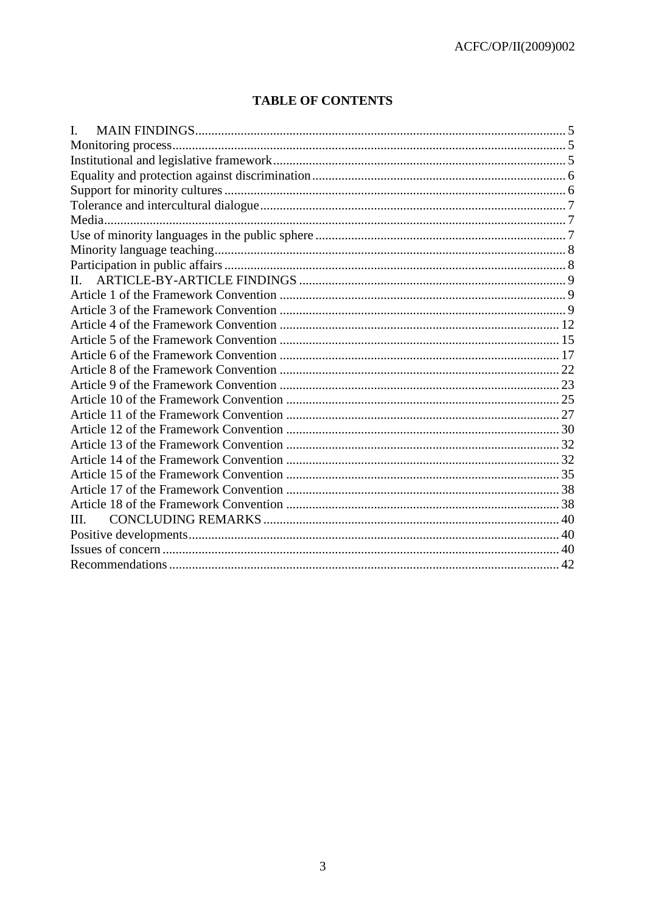# **TABLE OF CONTENTS**

| $\Pi$ |  |
|-------|--|
|       |  |
|       |  |
|       |  |
|       |  |
|       |  |
|       |  |
|       |  |
|       |  |
|       |  |
|       |  |
|       |  |
|       |  |
|       |  |
|       |  |
|       |  |
| III.  |  |
|       |  |
|       |  |
|       |  |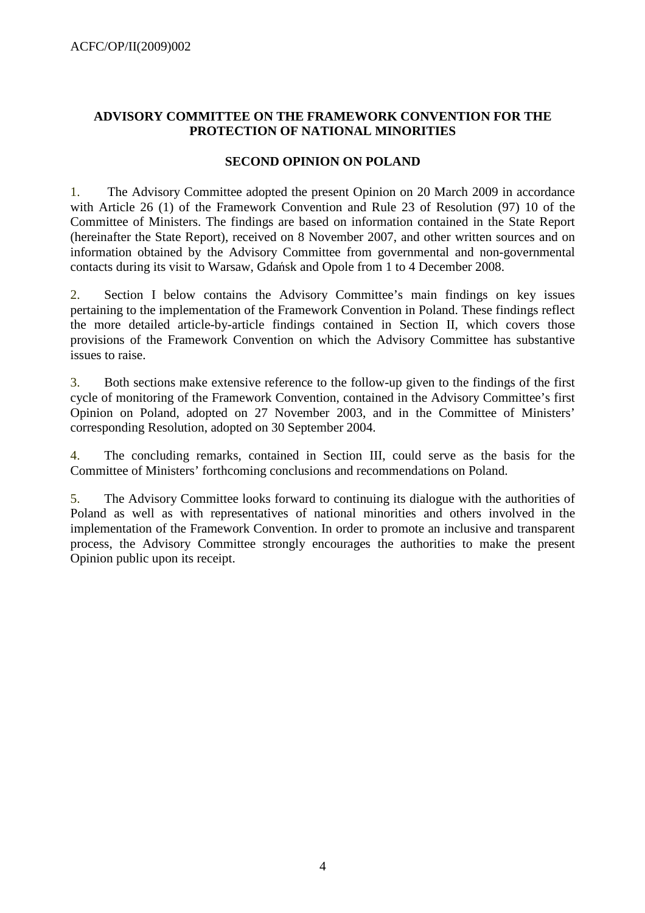# **ADVISORY COMMITTEE ON THE FRAMEWORK CONVENTION FOR THE PROTECTION OF NATIONAL MINORITIES**

### **SECOND OPINION ON POLAND**

1. The Advisory Committee adopted the present Opinion on 20 March 2009 in accordance with Article 26 (1) of the Framework Convention and Rule 23 of Resolution (97) 10 of the Committee of Ministers. The findings are based on information contained in the State Report (hereinafter the State Report), received on 8 November 2007, and other written sources and on information obtained by the Advisory Committee from governmental and non-governmental contacts during its visit to Warsaw, Gdańsk and Opole from 1 to 4 December 2008.

2. Section I below contains the Advisory Committee's main findings on key issues pertaining to the implementation of the Framework Convention in Poland. These findings reflect the more detailed article-by-article findings contained in Section II, which covers those provisions of the Framework Convention on which the Advisory Committee has substantive issues to raise.

3. Both sections make extensive reference to the follow-up given to the findings of the first cycle of monitoring of the Framework Convention, contained in the Advisory Committee's first Opinion on Poland, adopted on 27 November 2003, and in the Committee of Ministers' corresponding Resolution, adopted on 30 September 2004.

4. The concluding remarks, contained in Section III, could serve as the basis for the Committee of Ministers' forthcoming conclusions and recommendations on Poland.

5. The Advisory Committee looks forward to continuing its dialogue with the authorities of Poland as well as with representatives of national minorities and others involved in the implementation of the Framework Convention. In order to promote an inclusive and transparent process, the Advisory Committee strongly encourages the authorities to make the present Opinion public upon its receipt.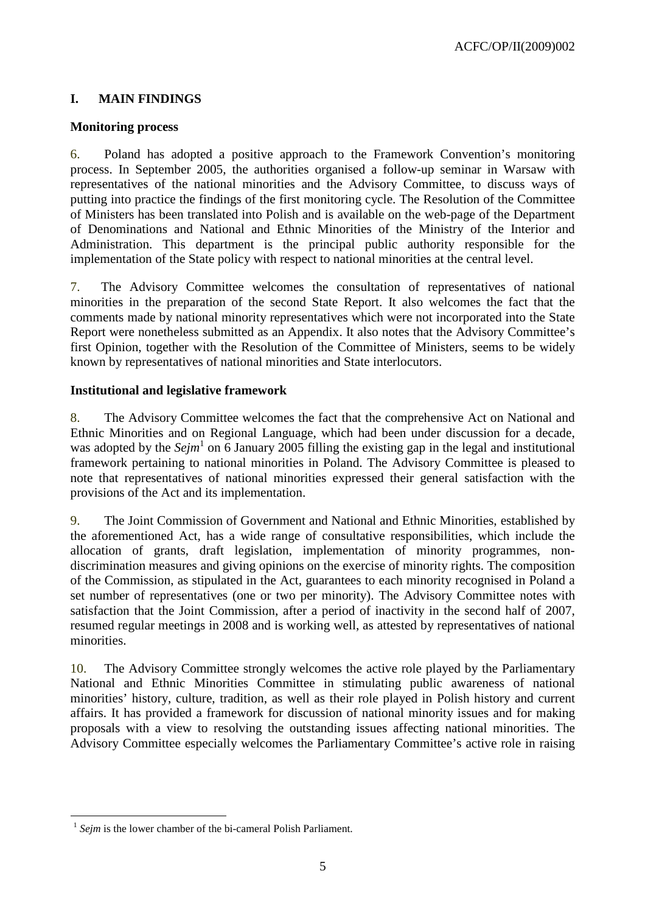# **I. MAIN FINDINGS**

### **Monitoring process**

6. Poland has adopted a positive approach to the Framework Convention's monitoring process. In September 2005, the authorities organised a follow-up seminar in Warsaw with representatives of the national minorities and the Advisory Committee, to discuss ways of putting into practice the findings of the first monitoring cycle. The Resolution of the Committee of Ministers has been translated into Polish and is available on the web-page of the Department of Denominations and National and Ethnic Minorities of the Ministry of the Interior and Administration. This department is the principal public authority responsible for the implementation of the State policy with respect to national minorities at the central level.

7. The Advisory Committee welcomes the consultation of representatives of national minorities in the preparation of the second State Report. It also welcomes the fact that the comments made by national minority representatives which were not incorporated into the State Report were nonetheless submitted as an Appendix. It also notes that the Advisory Committee's first Opinion, together with the Resolution of the Committee of Ministers, seems to be widely known by representatives of national minorities and State interlocutors.

# **Institutional and legislative framework**

8. The Advisory Committee welcomes the fact that the comprehensive Act on National and Ethnic Minorities and on Regional Language, which had been under discussion for a decade, was adopted by the *Sejm*<sup>1</sup> on 6 January 2005 filling the existing gap in the legal and institutional framework pertaining to national minorities in Poland. The Advisory Committee is pleased to note that representatives of national minorities expressed their general satisfaction with the provisions of the Act and its implementation.

9. The Joint Commission of Government and National and Ethnic Minorities, established by the aforementioned Act, has a wide range of consultative responsibilities, which include the allocation of grants, draft legislation, implementation of minority programmes, nondiscrimination measures and giving opinions on the exercise of minority rights. The composition of the Commission, as stipulated in the Act, guarantees to each minority recognised in Poland a set number of representatives (one or two per minority). The Advisory Committee notes with satisfaction that the Joint Commission, after a period of inactivity in the second half of 2007, resumed regular meetings in 2008 and is working well, as attested by representatives of national minorities.

10. The Advisory Committee strongly welcomes the active role played by the Parliamentary National and Ethnic Minorities Committee in stimulating public awareness of national minorities' history, culture, tradition, as well as their role played in Polish history and current affairs. It has provided a framework for discussion of national minority issues and for making proposals with a view to resolving the outstanding issues affecting national minorities. The Advisory Committee especially welcomes the Parliamentary Committee's active role in raising

 $\overline{a}$  $<sup>1</sup>$  *Sejm* is the lower chamber of the bi-cameral Polish Parliament.</sup>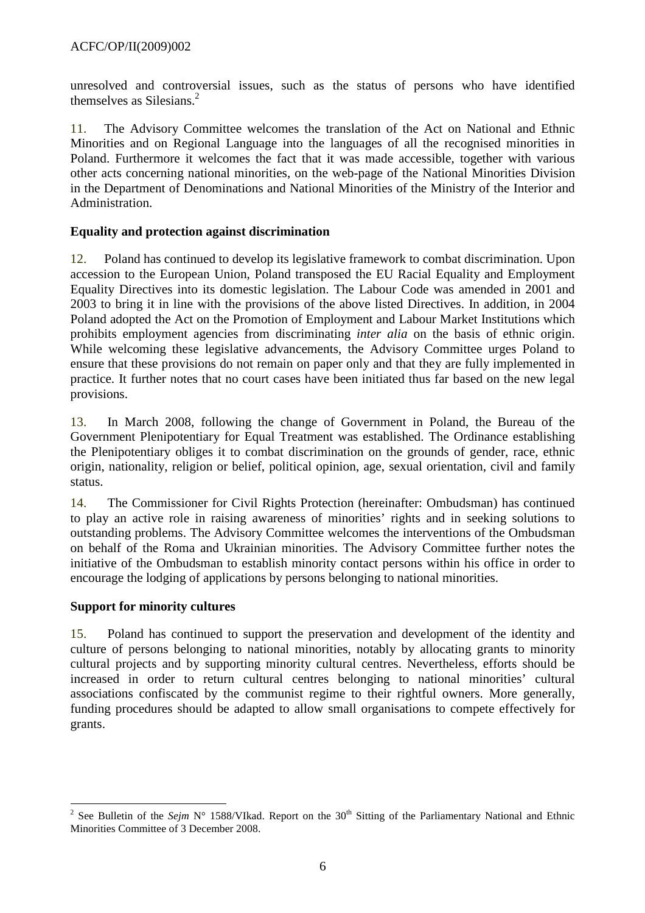unresolved and controversial issues, such as the status of persons who have identified themselves as Silesians.<sup>2</sup>

11. The Advisory Committee welcomes the translation of the Act on National and Ethnic Minorities and on Regional Language into the languages of all the recognised minorities in Poland. Furthermore it welcomes the fact that it was made accessible, together with various other acts concerning national minorities, on the web-page of the National Minorities Division in the Department of Denominations and National Minorities of the Ministry of the Interior and Administration.

### **Equality and protection against discrimination**

12. Poland has continued to develop its legislative framework to combat discrimination. Upon accession to the European Union, Poland transposed the EU Racial Equality and Employment Equality Directives into its domestic legislation. The Labour Code was amended in 2001 and 2003 to bring it in line with the provisions of the above listed Directives. In addition, in 2004 Poland adopted the Act on the Promotion of Employment and Labour Market Institutions which prohibits employment agencies from discriminating *inter alia* on the basis of ethnic origin. While welcoming these legislative advancements, the Advisory Committee urges Poland to ensure that these provisions do not remain on paper only and that they are fully implemented in practice. It further notes that no court cases have been initiated thus far based on the new legal provisions.

13. In March 2008, following the change of Government in Poland, the Bureau of the Government Plenipotentiary for Equal Treatment was established. The Ordinance establishing the Plenipotentiary obliges it to combat discrimination on the grounds of gender, race, ethnic origin, nationality, religion or belief, political opinion, age, sexual orientation, civil and family status.

14. The Commissioner for Civil Rights Protection (hereinafter: Ombudsman) has continued to play an active role in raising awareness of minorities' rights and in seeking solutions to outstanding problems. The Advisory Committee welcomes the interventions of the Ombudsman on behalf of the Roma and Ukrainian minorities. The Advisory Committee further notes the initiative of the Ombudsman to establish minority contact persons within his office in order to encourage the lodging of applications by persons belonging to national minorities.

# **Support for minority cultures**

15. Poland has continued to support the preservation and development of the identity and culture of persons belonging to national minorities, notably by allocating grants to minority cultural projects and by supporting minority cultural centres. Nevertheless, efforts should be increased in order to return cultural centres belonging to national minorities' cultural associations confiscated by the communist regime to their rightful owners. More generally, funding procedures should be adapted to allow small organisations to compete effectively for grants.

<sup>&</sup>lt;sup>2</sup> See Bulletin of the *Sejm* N° 1588/VIkad. Report on the 30<sup>th</sup> Sitting of the Parliamentary National and Ethnic Minorities Committee of 3 December 2008.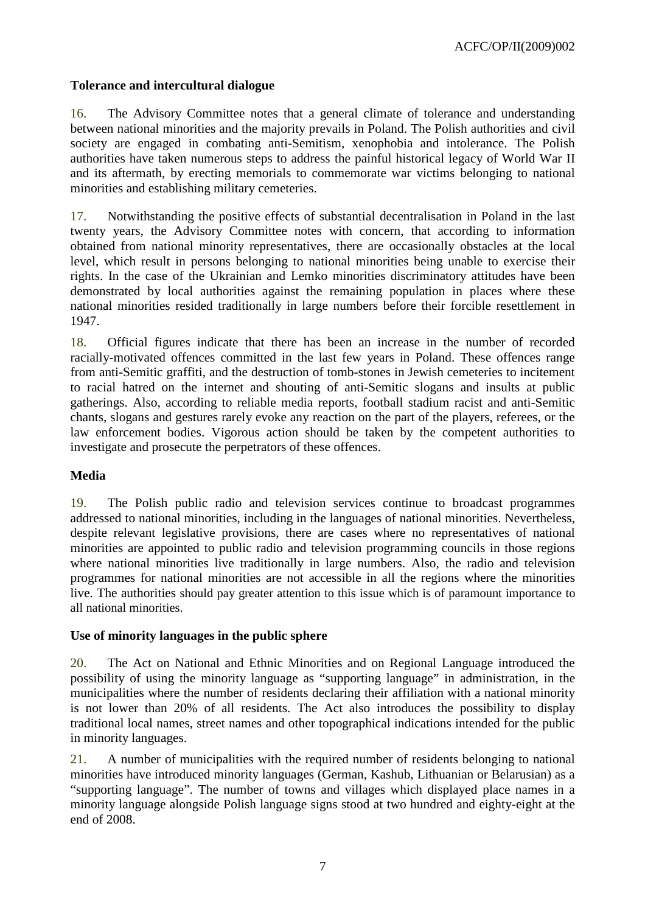### **Tolerance and intercultural dialogue**

16. The Advisory Committee notes that a general climate of tolerance and understanding between national minorities and the majority prevails in Poland. The Polish authorities and civil society are engaged in combating anti-Semitism, xenophobia and intolerance. The Polish authorities have taken numerous steps to address the painful historical legacy of World War II and its aftermath, by erecting memorials to commemorate war victims belonging to national minorities and establishing military cemeteries.

17. Notwithstanding the positive effects of substantial decentralisation in Poland in the last twenty years, the Advisory Committee notes with concern, that according to information obtained from national minority representatives, there are occasionally obstacles at the local level, which result in persons belonging to national minorities being unable to exercise their rights. In the case of the Ukrainian and Lemko minorities discriminatory attitudes have been demonstrated by local authorities against the remaining population in places where these national minorities resided traditionally in large numbers before their forcible resettlement in 1947.

18. Official figures indicate that there has been an increase in the number of recorded racially-motivated offences committed in the last few years in Poland. These offences range from anti-Semitic graffiti, and the destruction of tomb-stones in Jewish cemeteries to incitement to racial hatred on the internet and shouting of anti-Semitic slogans and insults at public gatherings. Also, according to reliable media reports, football stadium racist and anti-Semitic chants, slogans and gestures rarely evoke any reaction on the part of the players, referees, or the law enforcement bodies. Vigorous action should be taken by the competent authorities to investigate and prosecute the perpetrators of these offences.

# **Media**

19. The Polish public radio and television services continue to broadcast programmes addressed to national minorities, including in the languages of national minorities. Nevertheless, despite relevant legislative provisions, there are cases where no representatives of national minorities are appointed to public radio and television programming councils in those regions where national minorities live traditionally in large numbers. Also, the radio and television programmes for national minorities are not accessible in all the regions where the minorities live. The authorities should pay greater attention to this issue which is of paramount importance to all national minorities.

#### **Use of minority languages in the public sphere**

20. The Act on National and Ethnic Minorities and on Regional Language introduced the possibility of using the minority language as "supporting language" in administration, in the municipalities where the number of residents declaring their affiliation with a national minority is not lower than 20% of all residents. The Act also introduces the possibility to display traditional local names, street names and other topographical indications intended for the public in minority languages.

21. A number of municipalities with the required number of residents belonging to national minorities have introduced minority languages (German, Kashub, Lithuanian or Belarusian) as a "supporting language". The number of towns and villages which displayed place names in a minority language alongside Polish language signs stood at two hundred and eighty-eight at the end of 2008.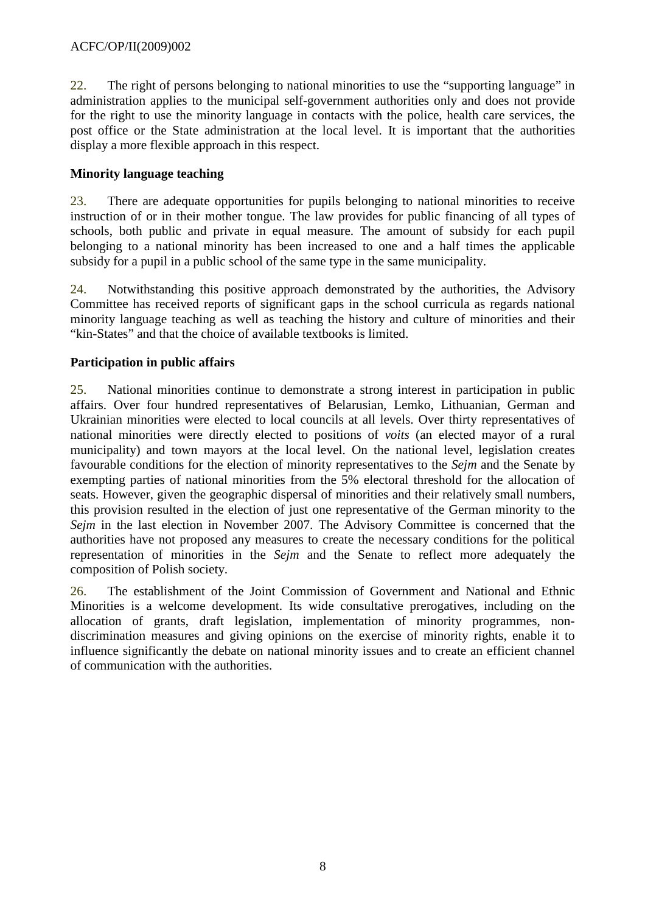22. The right of persons belonging to national minorities to use the "supporting language" in administration applies to the municipal self-government authorities only and does not provide for the right to use the minority language in contacts with the police, health care services, the post office or the State administration at the local level. It is important that the authorities display a more flexible approach in this respect.

# **Minority language teaching**

23. There are adequate opportunities for pupils belonging to national minorities to receive instruction of or in their mother tongue. The law provides for public financing of all types of schools, both public and private in equal measure. The amount of subsidy for each pupil belonging to a national minority has been increased to one and a half times the applicable subsidy for a pupil in a public school of the same type in the same municipality.

24. Notwithstanding this positive approach demonstrated by the authorities, the Advisory Committee has received reports of significant gaps in the school curricula as regards national minority language teaching as well as teaching the history and culture of minorities and their "kin-States" and that the choice of available textbooks is limited.

# **Participation in public affairs**

25. National minorities continue to demonstrate a strong interest in participation in public affairs. Over four hundred representatives of Belarusian, Lemko, Lithuanian, German and Ukrainian minorities were elected to local councils at all levels. Over thirty representatives of national minorities were directly elected to positions of *voits* (an elected mayor of a rural municipality) and town mayors at the local level. On the national level, legislation creates favourable conditions for the election of minority representatives to the *Sejm* and the Senate by exempting parties of national minorities from the 5% electoral threshold for the allocation of seats. However, given the geographic dispersal of minorities and their relatively small numbers, this provision resulted in the election of just one representative of the German minority to the *Sejm* in the last election in November 2007. The Advisory Committee is concerned that the authorities have not proposed any measures to create the necessary conditions for the political representation of minorities in the *Sejm* and the Senate to reflect more adequately the composition of Polish society.

26. The establishment of the Joint Commission of Government and National and Ethnic Minorities is a welcome development. Its wide consultative prerogatives, including on the allocation of grants, draft legislation, implementation of minority programmes, nondiscrimination measures and giving opinions on the exercise of minority rights, enable it to influence significantly the debate on national minority issues and to create an efficient channel of communication with the authorities.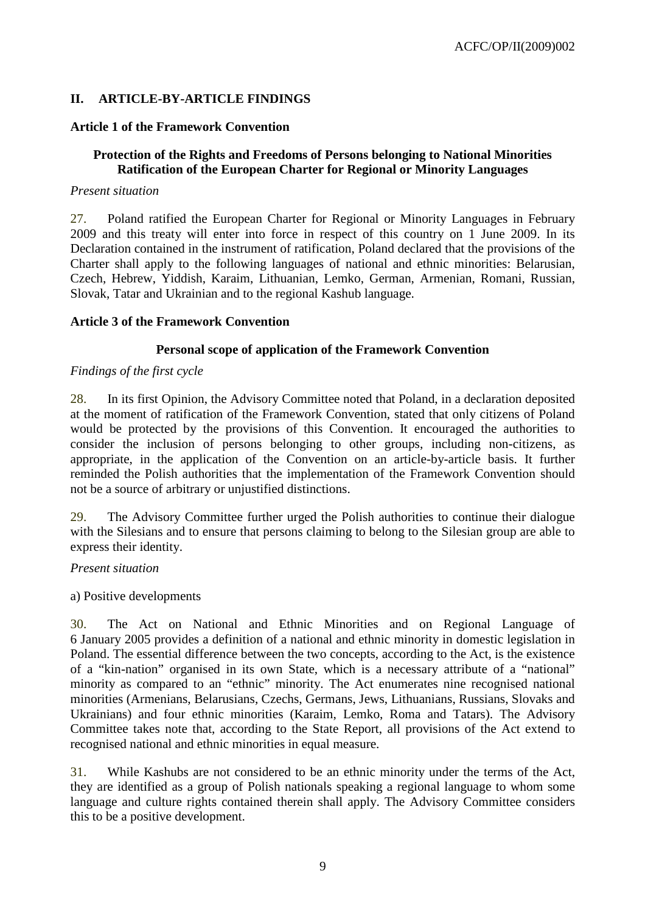# **II. ARTICLE-BY-ARTICLE FINDINGS**

### **Article 1 of the Framework Convention**

### **Protection of the Rights and Freedoms of Persons belonging to National Minorities Ratification of the European Charter for Regional or Minority Languages**

#### *Present situation*

27. Poland ratified the European Charter for Regional or Minority Languages in February 2009 and this treaty will enter into force in respect of this country on 1 June 2009. In its Declaration contained in the instrument of ratification, Poland declared that the provisions of the Charter shall apply to the following languages of national and ethnic minorities: Belarusian, Czech, Hebrew, Yiddish, Karaim, Lithuanian, Lemko, German, Armenian, Romani, Russian, Slovak, Tatar and Ukrainian and to the regional Kashub language.

#### **Article 3 of the Framework Convention**

#### **Personal scope of application of the Framework Convention**

#### *Findings of the first cycle*

28. In its first Opinion, the Advisory Committee noted that Poland, in a declaration deposited at the moment of ratification of the Framework Convention, stated that only citizens of Poland would be protected by the provisions of this Convention. It encouraged the authorities to consider the inclusion of persons belonging to other groups, including non-citizens, as appropriate, in the application of the Convention on an article-by-article basis. It further reminded the Polish authorities that the implementation of the Framework Convention should not be a source of arbitrary or unjustified distinctions.

29. The Advisory Committee further urged the Polish authorities to continue their dialogue with the Silesians and to ensure that persons claiming to belong to the Silesian group are able to express their identity.

#### *Present situation*

#### a) Positive developments

30. The Act on National and Ethnic Minorities and on Regional Language of 6 January 2005 provides a definition of a national and ethnic minority in domestic legislation in Poland. The essential difference between the two concepts, according to the Act, is the existence of a "kin-nation" organised in its own State, which is a necessary attribute of a "national" minority as compared to an "ethnic" minority. The Act enumerates nine recognised national minorities (Armenians, Belarusians, Czechs, Germans, Jews, Lithuanians, Russians, Slovaks and Ukrainians) and four ethnic minorities (Karaim, Lemko, Roma and Tatars). The Advisory Committee takes note that, according to the State Report, all provisions of the Act extend to recognised national and ethnic minorities in equal measure.

31. While Kashubs are not considered to be an ethnic minority under the terms of the Act, they are identified as a group of Polish nationals speaking a regional language to whom some language and culture rights contained therein shall apply. The Advisory Committee considers this to be a positive development.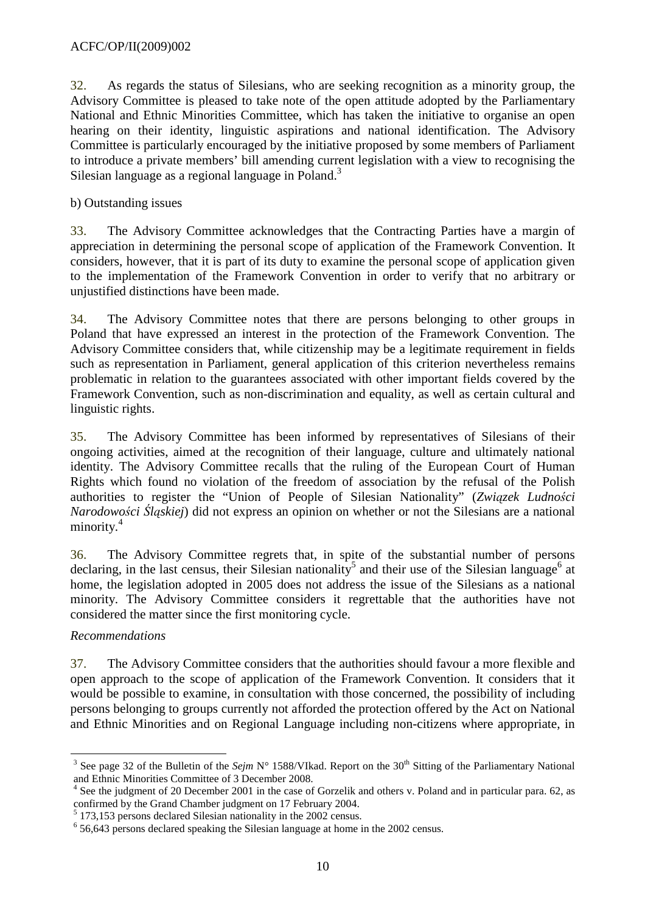32. As regards the status of Silesians, who are seeking recognition as a minority group, the Advisory Committee is pleased to take note of the open attitude adopted by the Parliamentary National and Ethnic Minorities Committee, which has taken the initiative to organise an open hearing on their identity, linguistic aspirations and national identification. The Advisory Committee is particularly encouraged by the initiative proposed by some members of Parliament to introduce a private members' bill amending current legislation with a view to recognising the Silesian language as a regional language in Poland.<sup>3</sup>

b) Outstanding issues

33. The Advisory Committee acknowledges that the Contracting Parties have a margin of appreciation in determining the personal scope of application of the Framework Convention. It considers, however, that it is part of its duty to examine the personal scope of application given to the implementation of the Framework Convention in order to verify that no arbitrary or unjustified distinctions have been made.

34. The Advisory Committee notes that there are persons belonging to other groups in Poland that have expressed an interest in the protection of the Framework Convention. The Advisory Committee considers that, while citizenship may be a legitimate requirement in fields such as representation in Parliament, general application of this criterion nevertheless remains problematic in relation to the guarantees associated with other important fields covered by the Framework Convention, such as non-discrimination and equality, as well as certain cultural and linguistic rights.

35. The Advisory Committee has been informed by representatives of Silesians of their ongoing activities, aimed at the recognition of their language, culture and ultimately national identity. The Advisory Committee recalls that the ruling of the European Court of Human Rights which found no violation of the freedom of association by the refusal of the Polish authorities to register the "Union of People of Silesian Nationality" (*Zwi*ą*zek Ludno*ś*ci Narodowo*ś*ci* Ś*l*ą*skiej*) did not express an opinion on whether or not the Silesians are a national minority.<sup>4</sup>

36. The Advisory Committee regrets that, in spite of the substantial number of persons declaring, in the last census, their Silesian nationality<sup>5</sup> and their use of the Silesian language<sup>6</sup> at home, the legislation adopted in 2005 does not address the issue of the Silesians as a national minority. The Advisory Committee considers it regrettable that the authorities have not considered the matter since the first monitoring cycle.

# *Recommendations*

37. The Advisory Committee considers that the authorities should favour a more flexible and open approach to the scope of application of the Framework Convention. It considers that it would be possible to examine, in consultation with those concerned, the possibility of including persons belonging to groups currently not afforded the protection offered by the Act on National and Ethnic Minorities and on Regional Language including non-citizens where appropriate, in

 $\overline{a}$ 3 See page 32 of the Bulletin of the *Sejm* N° 1588/VIkad. Report on the 30<sup>th</sup> Sitting of the Parliamentary National and Ethnic Minorities Committee of 3 December 2008.

<sup>4</sup> See the judgment of 20 December 2001 in the case of Gorzelik and others v. Poland and in particular para. 62, as confirmed by the Grand Chamber judgment on 17 February 2004.<br>
<sup>5</sup> 172,153 persons declared Silesian nationality in the 2002 consus.

 <sup>173,153</sup> persons declared Silesian nationality in the 2002 census.

<sup>&</sup>lt;sup>6</sup> 56,643 persons declared speaking the Silesian language at home in the 2002 census.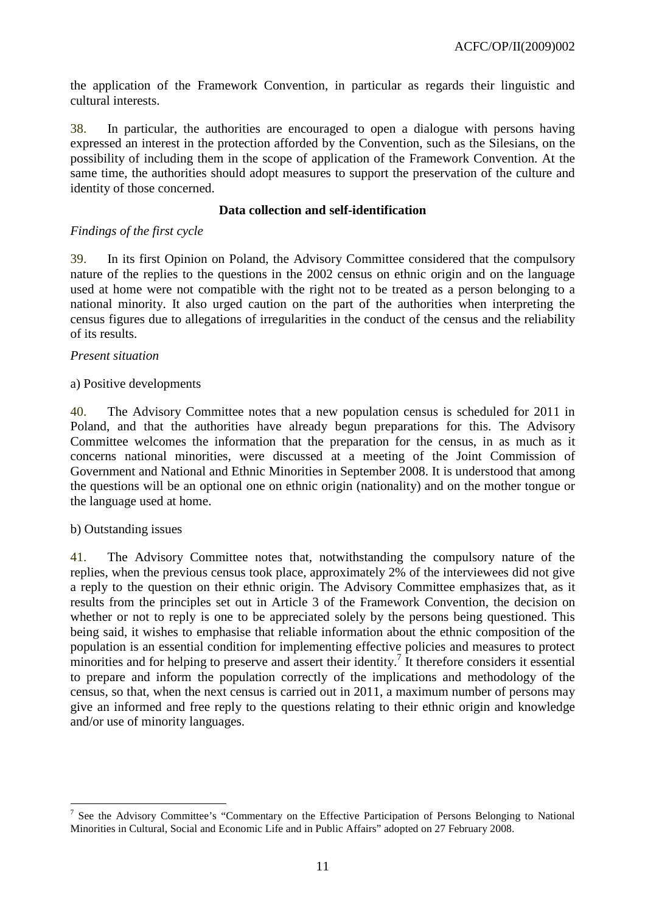the application of the Framework Convention, in particular as regards their linguistic and cultural interests.

38. In particular, the authorities are encouraged to open a dialogue with persons having expressed an interest in the protection afforded by the Convention, such as the Silesians, on the possibility of including them in the scope of application of the Framework Convention. At the same time, the authorities should adopt measures to support the preservation of the culture and identity of those concerned.

### **Data collection and self-identification**

### *Findings of the first cycle*

39. In its first Opinion on Poland, the Advisory Committee considered that the compulsory nature of the replies to the questions in the 2002 census on ethnic origin and on the language used at home were not compatible with the right not to be treated as a person belonging to a national minority. It also urged caution on the part of the authorities when interpreting the census figures due to allegations of irregularities in the conduct of the census and the reliability of its results.

### *Present situation*

### a) Positive developments

40. The Advisory Committee notes that a new population census is scheduled for 2011 in Poland, and that the authorities have already begun preparations for this. The Advisory Committee welcomes the information that the preparation for the census, in as much as it concerns national minorities, were discussed at a meeting of the Joint Commission of Government and National and Ethnic Minorities in September 2008. It is understood that among the questions will be an optional one on ethnic origin (nationality) and on the mother tongue or the language used at home.

# b) Outstanding issues

41. The Advisory Committee notes that, notwithstanding the compulsory nature of the replies, when the previous census took place, approximately 2% of the interviewees did not give a reply to the question on their ethnic origin. The Advisory Committee emphasizes that, as it results from the principles set out in Article 3 of the Framework Convention, the decision on whether or not to reply is one to be appreciated solely by the persons being questioned. This being said, it wishes to emphasise that reliable information about the ethnic composition of the population is an essential condition for implementing effective policies and measures to protect minorities and for helping to preserve and assert their identity.<sup>7</sup> It therefore considers it essential to prepare and inform the population correctly of the implications and methodology of the census, so that, when the next census is carried out in 2011, a maximum number of persons may give an informed and free reply to the questions relating to their ethnic origin and knowledge and/or use of minority languages.

 $\overline{a}$ <sup>7</sup> See the Advisory Committee's "Commentary on the Effective Participation of Persons Belonging to National Minorities in Cultural, Social and Economic Life and in Public Affairs" adopted on 27 February 2008.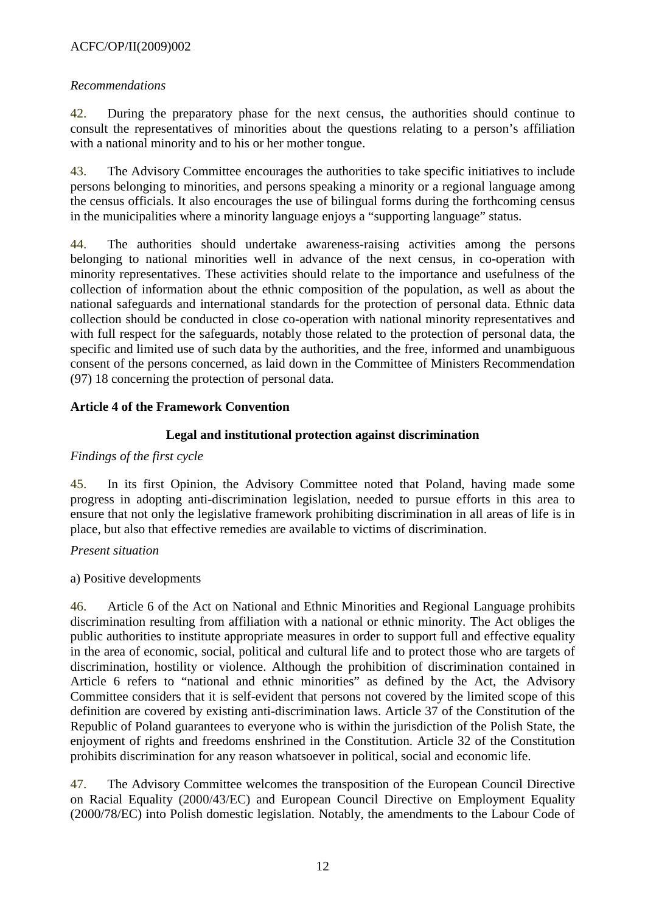# ACFC/OP/II(2009)002

### *Recommendations*

42. During the preparatory phase for the next census, the authorities should continue to consult the representatives of minorities about the questions relating to a person's affiliation with a national minority and to his or her mother tongue.

43. The Advisory Committee encourages the authorities to take specific initiatives to include persons belonging to minorities, and persons speaking a minority or a regional language among the census officials. It also encourages the use of bilingual forms during the forthcoming census in the municipalities where a minority language enjoys a "supporting language" status.

44. The authorities should undertake awareness-raising activities among the persons belonging to national minorities well in advance of the next census, in co-operation with minority representatives. These activities should relate to the importance and usefulness of the collection of information about the ethnic composition of the population, as well as about the national safeguards and international standards for the protection of personal data. Ethnic data collection should be conducted in close co-operation with national minority representatives and with full respect for the safeguards, notably those related to the protection of personal data, the specific and limited use of such data by the authorities, and the free, informed and unambiguous consent of the persons concerned, as laid down in the Committee of Ministers Recommendation (97) 18 concerning the protection of personal data.

### **Article 4 of the Framework Convention**

### **Legal and institutional protection against discrimination**

### *Findings of the first cycle*

45. In its first Opinion, the Advisory Committee noted that Poland, having made some progress in adopting anti-discrimination legislation, needed to pursue efforts in this area to ensure that not only the legislative framework prohibiting discrimination in all areas of life is in place, but also that effective remedies are available to victims of discrimination.

#### *Present situation*

a) Positive developments

46. Article 6 of the Act on National and Ethnic Minorities and Regional Language prohibits discrimination resulting from affiliation with a national or ethnic minority. The Act obliges the public authorities to institute appropriate measures in order to support full and effective equality in the area of economic, social, political and cultural life and to protect those who are targets of discrimination, hostility or violence. Although the prohibition of discrimination contained in Article 6 refers to "national and ethnic minorities" as defined by the Act, the Advisory Committee considers that it is self-evident that persons not covered by the limited scope of this definition are covered by existing anti-discrimination laws. Article 37 of the Constitution of the Republic of Poland guarantees to everyone who is within the jurisdiction of the Polish State, the enjoyment of rights and freedoms enshrined in the Constitution. Article 32 of the Constitution prohibits discrimination for any reason whatsoever in political, social and economic life.

47. The Advisory Committee welcomes the transposition of the European Council Directive on Racial Equality (2000/43/EC) and European Council Directive on Employment Equality (2000/78/EC) into Polish domestic legislation. Notably, the amendments to the Labour Code of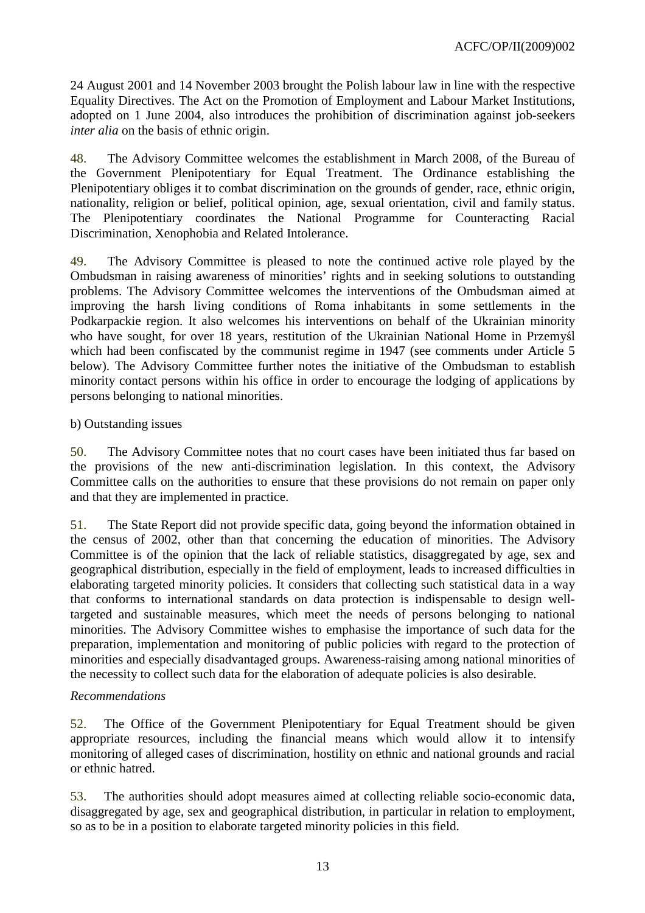24 August 2001 and 14 November 2003 brought the Polish labour law in line with the respective Equality Directives. The Act on the Promotion of Employment and Labour Market Institutions, adopted on 1 June 2004, also introduces the prohibition of discrimination against job-seekers *inter alia* on the basis of ethnic origin.

48. The Advisory Committee welcomes the establishment in March 2008, of the Bureau of the Government Plenipotentiary for Equal Treatment. The Ordinance establishing the Plenipotentiary obliges it to combat discrimination on the grounds of gender, race, ethnic origin, nationality, religion or belief, political opinion, age, sexual orientation, civil and family status. The Plenipotentiary coordinates the National Programme for Counteracting Racial Discrimination, Xenophobia and Related Intolerance.

49. The Advisory Committee is pleased to note the continued active role played by the Ombudsman in raising awareness of minorities' rights and in seeking solutions to outstanding problems. The Advisory Committee welcomes the interventions of the Ombudsman aimed at improving the harsh living conditions of Roma inhabitants in some settlements in the Podkarpackie region. It also welcomes his interventions on behalf of the Ukrainian minority who have sought, for over 18 years, restitution of the Ukrainian National Home in Przemyśl which had been confiscated by the communist regime in 1947 (see comments under Article 5 below). The Advisory Committee further notes the initiative of the Ombudsman to establish minority contact persons within his office in order to encourage the lodging of applications by persons belonging to national minorities.

# b) Outstanding issues

50. The Advisory Committee notes that no court cases have been initiated thus far based on the provisions of the new anti-discrimination legislation. In this context, the Advisory Committee calls on the authorities to ensure that these provisions do not remain on paper only and that they are implemented in practice.

51. The State Report did not provide specific data, going beyond the information obtained in the census of 2002, other than that concerning the education of minorities. The Advisory Committee is of the opinion that the lack of reliable statistics, disaggregated by age, sex and geographical distribution, especially in the field of employment, leads to increased difficulties in elaborating targeted minority policies. It considers that collecting such statistical data in a way that conforms to international standards on data protection is indispensable to design welltargeted and sustainable measures, which meet the needs of persons belonging to national minorities. The Advisory Committee wishes to emphasise the importance of such data for the preparation, implementation and monitoring of public policies with regard to the protection of minorities and especially disadvantaged groups. Awareness-raising among national minorities of the necessity to collect such data for the elaboration of adequate policies is also desirable.

# *Recommendations*

52. The Office of the Government Plenipotentiary for Equal Treatment should be given appropriate resources, including the financial means which would allow it to intensify monitoring of alleged cases of discrimination, hostility on ethnic and national grounds and racial or ethnic hatred.

53. The authorities should adopt measures aimed at collecting reliable socio-economic data, disaggregated by age, sex and geographical distribution, in particular in relation to employment, so as to be in a position to elaborate targeted minority policies in this field.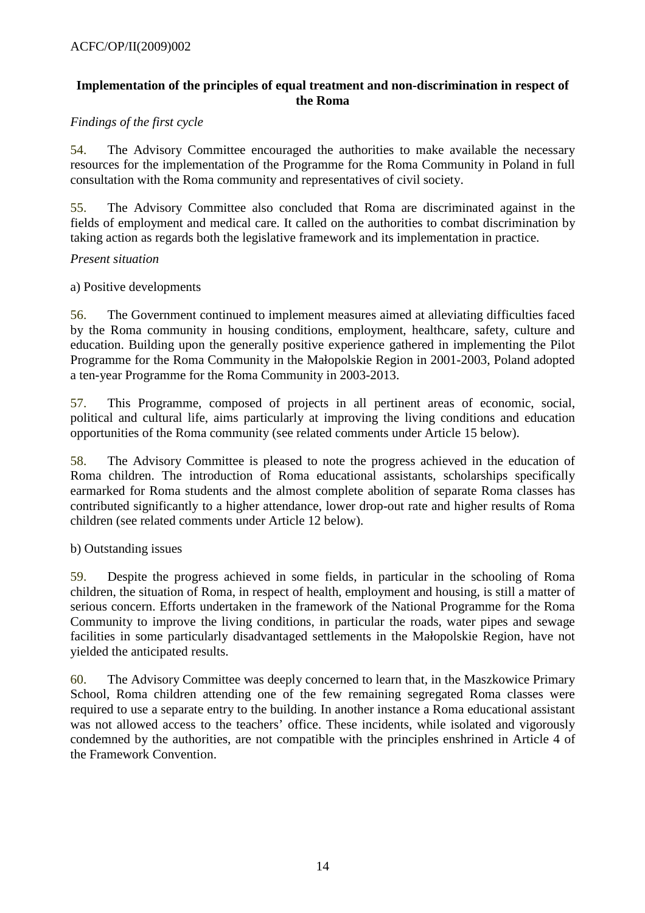# **Implementation of the principles of equal treatment and non-discrimination in respect of the Roma**

# *Findings of the first cycle*

54. The Advisory Committee encouraged the authorities to make available the necessary resources for the implementation of the Programme for the Roma Community in Poland in full consultation with the Roma community and representatives of civil society.

55. The Advisory Committee also concluded that Roma are discriminated against in the fields of employment and medical care. It called on the authorities to combat discrimination by taking action as regards both the legislative framework and its implementation in practice.

### *Present situation*

a) Positive developments

56. The Government continued to implement measures aimed at alleviating difficulties faced by the Roma community in housing conditions, employment, healthcare, safety, culture and education. Building upon the generally positive experience gathered in implementing the Pilot Programme for the Roma Community in the Małopolskie Region in 2001-2003, Poland adopted a ten-year Programme for the Roma Community in 2003-2013.

57. This Programme, composed of projects in all pertinent areas of economic, social, political and cultural life, aims particularly at improving the living conditions and education opportunities of the Roma community (see related comments under Article 15 below).

58. The Advisory Committee is pleased to note the progress achieved in the education of Roma children. The introduction of Roma educational assistants, scholarships specifically earmarked for Roma students and the almost complete abolition of separate Roma classes has contributed significantly to a higher attendance, lower drop-out rate and higher results of Roma children (see related comments under Article 12 below).

#### b) Outstanding issues

59. Despite the progress achieved in some fields, in particular in the schooling of Roma children, the situation of Roma, in respect of health, employment and housing, is still a matter of serious concern. Efforts undertaken in the framework of the National Programme for the Roma Community to improve the living conditions, in particular the roads, water pipes and sewage facilities in some particularly disadvantaged settlements in the Małopolskie Region, have not yielded the anticipated results.

60. The Advisory Committee was deeply concerned to learn that, in the Maszkowice Primary School, Roma children attending one of the few remaining segregated Roma classes were required to use a separate entry to the building. In another instance a Roma educational assistant was not allowed access to the teachers' office. These incidents, while isolated and vigorously condemned by the authorities, are not compatible with the principles enshrined in Article 4 of the Framework Convention.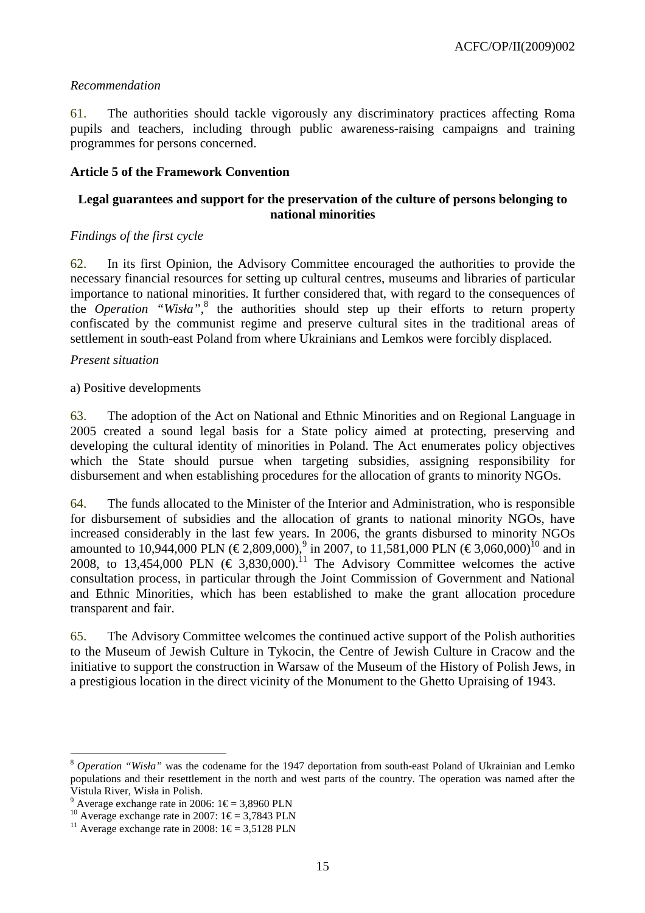### *Recommendation*

61. The authorities should tackle vigorously any discriminatory practices affecting Roma pupils and teachers, including through public awareness-raising campaigns and training programmes for persons concerned.

### **Article 5 of the Framework Convention**

# **Legal guarantees and support for the preservation of the culture of persons belonging to national minorities**

### *Findings of the first cycle*

62. In its first Opinion, the Advisory Committee encouraged the authorities to provide the necessary financial resources for setting up cultural centres, museums and libraries of particular importance to national minorities. It further considered that, with regard to the consequences of the *Operation* "Wisła",<sup>8</sup> the authorities should step up their efforts to return property confiscated by the communist regime and preserve cultural sites in the traditional areas of settlement in south-east Poland from where Ukrainians and Lemkos were forcibly displaced.

#### *Present situation*

a) Positive developments

63. The adoption of the Act on National and Ethnic Minorities and on Regional Language in 2005 created a sound legal basis for a State policy aimed at protecting, preserving and developing the cultural identity of minorities in Poland. The Act enumerates policy objectives which the State should pursue when targeting subsidies, assigning responsibility for disbursement and when establishing procedures for the allocation of grants to minority NGOs.

64. The funds allocated to the Minister of the Interior and Administration, who is responsible for disbursement of subsidies and the allocation of grants to national minority NGOs, have increased considerably in the last few years. In 2006, the grants disbursed to minority NGOs amounted to 10,944,000 PLN (€ 2,809,000),<sup>9</sup> in 2007, to 11,581,000 PLN (€ 3,060,000)<sup>10</sup> and in 2008, to 13,454,000 PLN  $(\epsilon$  3,830,000).<sup>11</sup> The Advisory Committee welcomes the active consultation process, in particular through the Joint Commission of Government and National and Ethnic Minorities, which has been established to make the grant allocation procedure transparent and fair.

65. The Advisory Committee welcomes the continued active support of the Polish authorities to the Museum of Jewish Culture in Tykocin, the Centre of Jewish Culture in Cracow and the initiative to support the construction in Warsaw of the Museum of the History of Polish Jews, in a prestigious location in the direct vicinity of the Monument to the Ghetto Upraising of 1943.

 $\overline{a}$ 

<sup>8</sup> *Operation "Wisła"* was the codename for the 1947 deportation from south-east Poland of Ukrainian and Lemko populations and their resettlement in the north and west parts of the country. The operation was named after the Vistula River, Wisła in Polish.

<sup>&</sup>lt;sup>9</sup> Average exchange rate in 2006:  $1 \in \text{=} 3,8960 \text{ PLN}$ 

<sup>&</sup>lt;sup>10</sup> Average exchange rate in 2007:  $1 \in 3,7843$  PLN

<sup>&</sup>lt;sup>11</sup> Average exchange rate in 2008:  $1 \in 3,5128$  PLN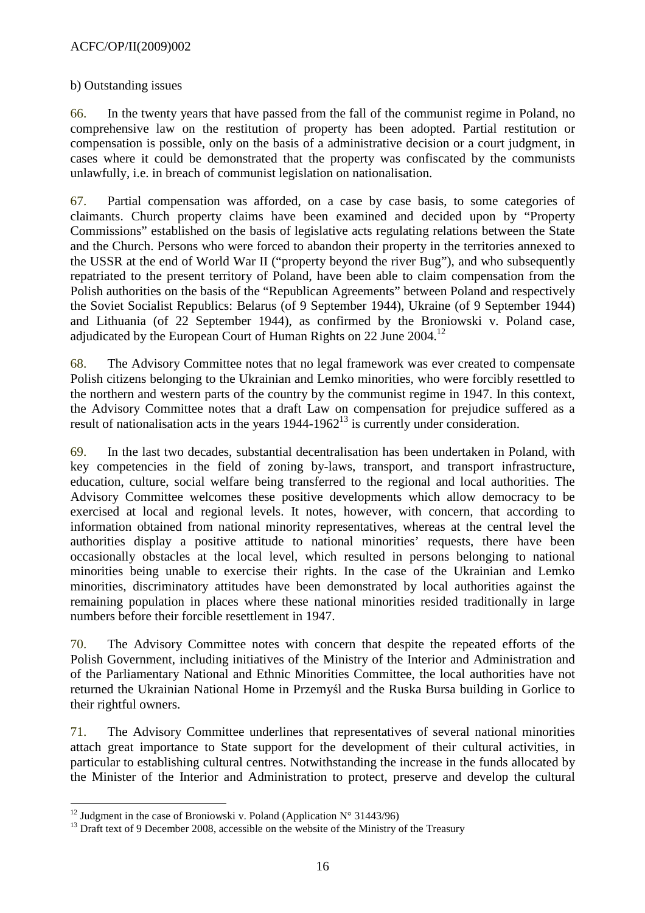### ACFC/OP/II(2009)002

#### b) Outstanding issues

66. In the twenty years that have passed from the fall of the communist regime in Poland, no comprehensive law on the restitution of property has been adopted. Partial restitution or compensation is possible, only on the basis of a administrative decision or a court judgment, in cases where it could be demonstrated that the property was confiscated by the communists unlawfully, i.e. in breach of communist legislation on nationalisation.

67. Partial compensation was afforded, on a case by case basis, to some categories of claimants. Church property claims have been examined and decided upon by "Property Commissions" established on the basis of legislative acts regulating relations between the State and the Church. Persons who were forced to abandon their property in the territories annexed to the USSR at the end of World War II ("property beyond the river Bug"), and who subsequently repatriated to the present territory of Poland, have been able to claim compensation from the Polish authorities on the basis of the "Republican Agreements" between Poland and respectively the Soviet Socialist Republics: Belarus (of 9 September 1944), Ukraine (of 9 September 1944) and Lithuania (of 22 September 1944), as confirmed by the Broniowski v. Poland case, adjudicated by the European Court of Human Rights on 22 June 2004.<sup>12</sup>

68. The Advisory Committee notes that no legal framework was ever created to compensate Polish citizens belonging to the Ukrainian and Lemko minorities, who were forcibly resettled to the northern and western parts of the country by the communist regime in 1947. In this context, the Advisory Committee notes that a draft Law on compensation for prejudice suffered as a result of nationalisation acts in the years  $1944-1962^{13}$  is currently under consideration.

69. In the last two decades, substantial decentralisation has been undertaken in Poland, with key competencies in the field of zoning by-laws, transport, and transport infrastructure, education, culture, social welfare being transferred to the regional and local authorities. The Advisory Committee welcomes these positive developments which allow democracy to be exercised at local and regional levels. It notes, however, with concern, that according to information obtained from national minority representatives, whereas at the central level the authorities display a positive attitude to national minorities' requests, there have been occasionally obstacles at the local level, which resulted in persons belonging to national minorities being unable to exercise their rights. In the case of the Ukrainian and Lemko minorities, discriminatory attitudes have been demonstrated by local authorities against the remaining population in places where these national minorities resided traditionally in large numbers before their forcible resettlement in 1947.

70. The Advisory Committee notes with concern that despite the repeated efforts of the Polish Government, including initiatives of the Ministry of the Interior and Administration and of the Parliamentary National and Ethnic Minorities Committee, the local authorities have not returned the Ukrainian National Home in Przemyśl and the Ruska Bursa building in Gorlice to their rightful owners.

71. The Advisory Committee underlines that representatives of several national minorities attach great importance to State support for the development of their cultural activities, in particular to establishing cultural centres. Notwithstanding the increase in the funds allocated by the Minister of the Interior and Administration to protect, preserve and develop the cultural

 $\overline{a}$ <sup>12</sup> Judgment in the case of Broniowski v. Poland (Application  $N^{\circ}$  31443/96)

<sup>&</sup>lt;sup>13</sup> Draft text of 9 December 2008, accessible on the website of the Ministry of the Treasury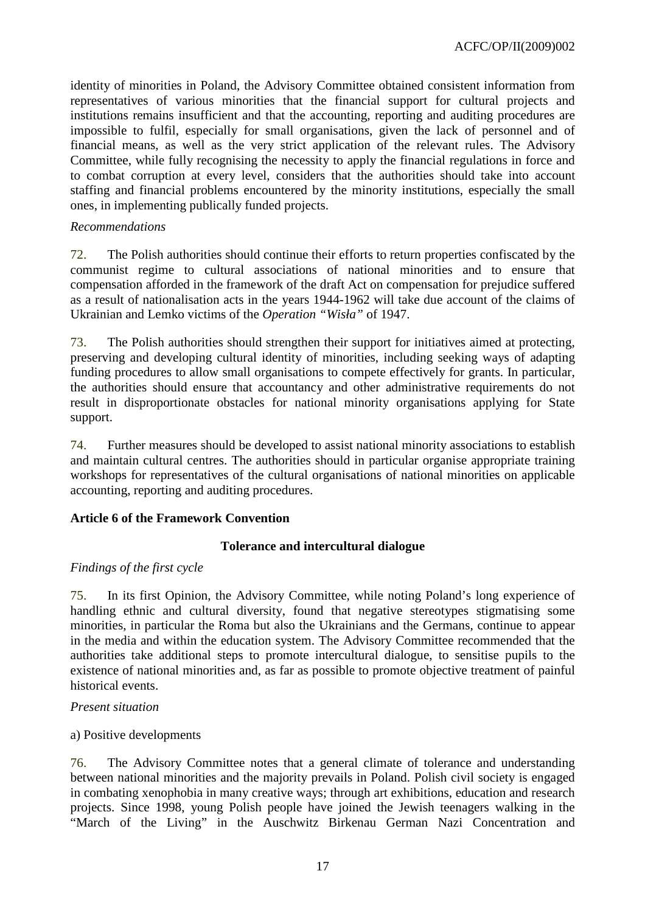identity of minorities in Poland, the Advisory Committee obtained consistent information from representatives of various minorities that the financial support for cultural projects and institutions remains insufficient and that the accounting, reporting and auditing procedures are impossible to fulfil, especially for small organisations, given the lack of personnel and of financial means, as well as the very strict application of the relevant rules. The Advisory Committee, while fully recognising the necessity to apply the financial regulations in force and to combat corruption at every level, considers that the authorities should take into account staffing and financial problems encountered by the minority institutions, especially the small ones, in implementing publically funded projects.

#### *Recommendations*

72. The Polish authorities should continue their efforts to return properties confiscated by the communist regime to cultural associations of national minorities and to ensure that compensation afforded in the framework of the draft Act on compensation for prejudice suffered as a result of nationalisation acts in the years 1944-1962 will take due account of the claims of Ukrainian and Lemko victims of the *Operation "Wisła"* of 1947.

73. The Polish authorities should strengthen their support for initiatives aimed at protecting, preserving and developing cultural identity of minorities, including seeking ways of adapting funding procedures to allow small organisations to compete effectively for grants. In particular, the authorities should ensure that accountancy and other administrative requirements do not result in disproportionate obstacles for national minority organisations applying for State support.

74. Further measures should be developed to assist national minority associations to establish and maintain cultural centres. The authorities should in particular organise appropriate training workshops for representatives of the cultural organisations of national minorities on applicable accounting, reporting and auditing procedures.

#### **Article 6 of the Framework Convention**

#### **Tolerance and intercultural dialogue**

#### *Findings of the first cycle*

75. In its first Opinion, the Advisory Committee, while noting Poland's long experience of handling ethnic and cultural diversity, found that negative stereotypes stigmatising some minorities, in particular the Roma but also the Ukrainians and the Germans, continue to appear in the media and within the education system. The Advisory Committee recommended that the authorities take additional steps to promote intercultural dialogue, to sensitise pupils to the existence of national minorities and, as far as possible to promote objective treatment of painful historical events.

#### *Present situation*

#### a) Positive developments

76. The Advisory Committee notes that a general climate of tolerance and understanding between national minorities and the majority prevails in Poland. Polish civil society is engaged in combating xenophobia in many creative ways; through art exhibitions, education and research projects. Since 1998, young Polish people have joined the Jewish teenagers walking in the "March of the Living" in the Auschwitz Birkenau German Nazi Concentration and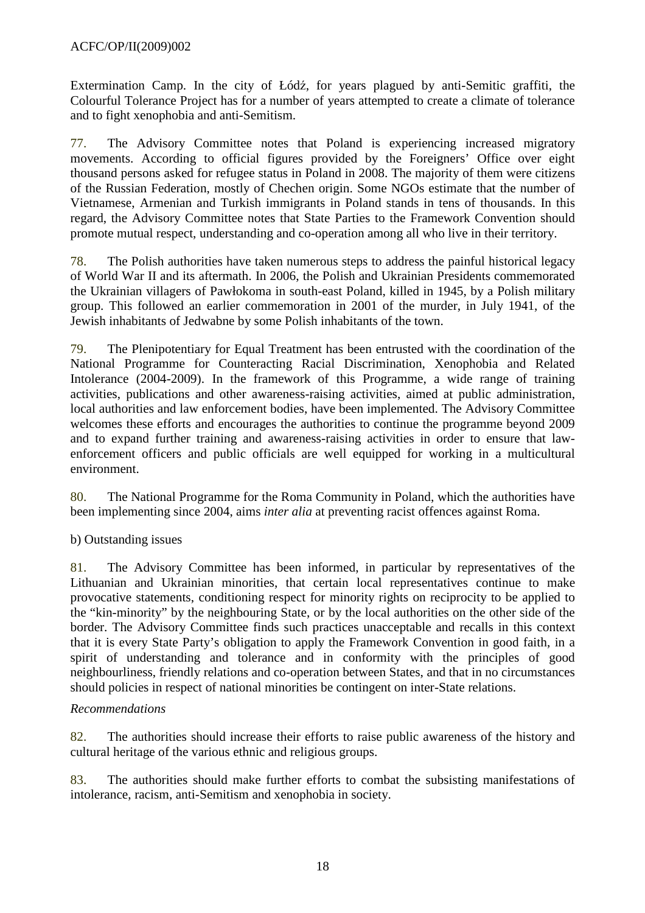Extermination Camp. In the city of Łódź, for years plagued by anti-Semitic graffiti, the Colourful Tolerance Project has for a number of years attempted to create a climate of tolerance and to fight xenophobia and anti-Semitism.

77. The Advisory Committee notes that Poland is experiencing increased migratory movements. According to official figures provided by the Foreigners' Office over eight thousand persons asked for refugee status in Poland in 2008. The majority of them were citizens of the Russian Federation, mostly of Chechen origin. Some NGOs estimate that the number of Vietnamese, Armenian and Turkish immigrants in Poland stands in tens of thousands. In this regard, the Advisory Committee notes that State Parties to the Framework Convention should promote mutual respect, understanding and co-operation among all who live in their territory.

78. The Polish authorities have taken numerous steps to address the painful historical legacy of World War II and its aftermath. In 2006, the Polish and Ukrainian Presidents commemorated the Ukrainian villagers of Pawłokoma in south-east Poland, killed in 1945, by a Polish military group. This followed an earlier commemoration in 2001 of the murder, in July 1941, of the Jewish inhabitants of Jedwabne by some Polish inhabitants of the town.

79. The Plenipotentiary for Equal Treatment has been entrusted with the coordination of the National Programme for Counteracting Racial Discrimination, Xenophobia and Related Intolerance (2004-2009). In the framework of this Programme, a wide range of training activities, publications and other awareness-raising activities, aimed at public administration, local authorities and law enforcement bodies, have been implemented. The Advisory Committee welcomes these efforts and encourages the authorities to continue the programme beyond 2009 and to expand further training and awareness-raising activities in order to ensure that lawenforcement officers and public officials are well equipped for working in a multicultural environment.

80. The National Programme for the Roma Community in Poland, which the authorities have been implementing since 2004, aims *inter alia* at preventing racist offences against Roma.

# b) Outstanding issues

81. The Advisory Committee has been informed, in particular by representatives of the Lithuanian and Ukrainian minorities, that certain local representatives continue to make provocative statements, conditioning respect for minority rights on reciprocity to be applied to the "kin-minority" by the neighbouring State, or by the local authorities on the other side of the border. The Advisory Committee finds such practices unacceptable and recalls in this context that it is every State Party's obligation to apply the Framework Convention in good faith, in a spirit of understanding and tolerance and in conformity with the principles of good neighbourliness, friendly relations and co-operation between States, and that in no circumstances should policies in respect of national minorities be contingent on inter-State relations.

#### *Recommendations*

82. The authorities should increase their efforts to raise public awareness of the history and cultural heritage of the various ethnic and religious groups.

83. The authorities should make further efforts to combat the subsisting manifestations of intolerance, racism, anti-Semitism and xenophobia in society.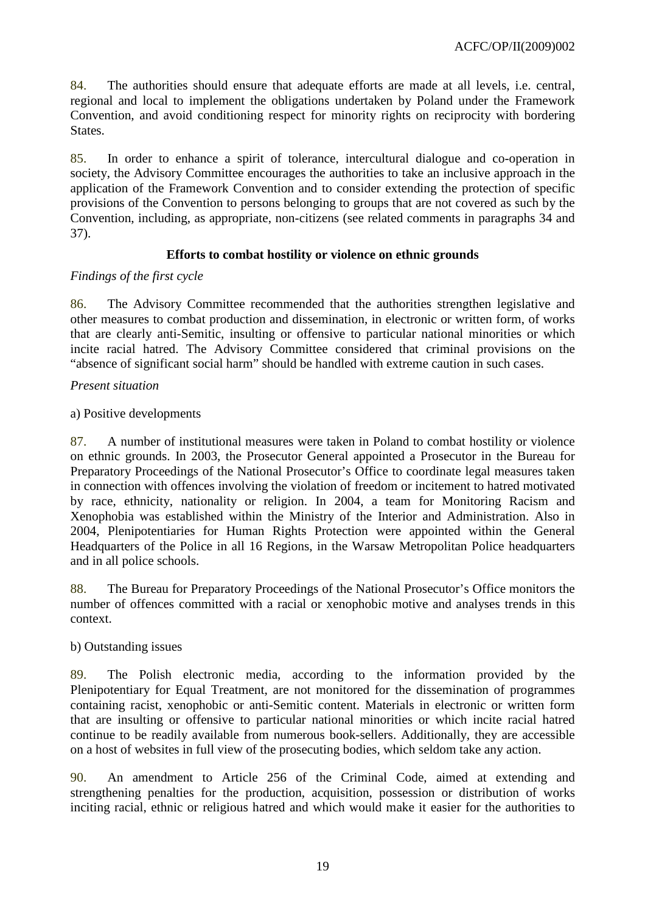84. The authorities should ensure that adequate efforts are made at all levels, i.e. central, regional and local to implement the obligations undertaken by Poland under the Framework Convention, and avoid conditioning respect for minority rights on reciprocity with bordering States.

85. In order to enhance a spirit of tolerance, intercultural dialogue and co-operation in society, the Advisory Committee encourages the authorities to take an inclusive approach in the application of the Framework Convention and to consider extending the protection of specific provisions of the Convention to persons belonging to groups that are not covered as such by the Convention, including, as appropriate, non-citizens (see related comments in paragraphs 34 and 37).

# **Efforts to combat hostility or violence on ethnic grounds**

# *Findings of the first cycle*

86. The Advisory Committee recommended that the authorities strengthen legislative and other measures to combat production and dissemination, in electronic or written form, of works that are clearly anti-Semitic, insulting or offensive to particular national minorities or which incite racial hatred. The Advisory Committee considered that criminal provisions on the "absence of significant social harm" should be handled with extreme caution in such cases.

# *Present situation*

# a) Positive developments

87. A number of institutional measures were taken in Poland to combat hostility or violence on ethnic grounds. In 2003, the Prosecutor General appointed a Prosecutor in the Bureau for Preparatory Proceedings of the National Prosecutor's Office to coordinate legal measures taken in connection with offences involving the violation of freedom or incitement to hatred motivated by race, ethnicity, nationality or religion. In 2004, a team for Monitoring Racism and Xenophobia was established within the Ministry of the Interior and Administration. Also in 2004, Plenipotentiaries for Human Rights Protection were appointed within the General Headquarters of the Police in all 16 Regions, in the Warsaw Metropolitan Police headquarters and in all police schools.

88. The Bureau for Preparatory Proceedings of the National Prosecutor's Office monitors the number of offences committed with a racial or xenophobic motive and analyses trends in this context.

# b) Outstanding issues

89. The Polish electronic media, according to the information provided by the Plenipotentiary for Equal Treatment, are not monitored for the dissemination of programmes containing racist, xenophobic or anti-Semitic content. Materials in electronic or written form that are insulting or offensive to particular national minorities or which incite racial hatred continue to be readily available from numerous book-sellers. Additionally, they are accessible on a host of websites in full view of the prosecuting bodies, which seldom take any action.

90. An amendment to Article 256 of the Criminal Code, aimed at extending and strengthening penalties for the production, acquisition, possession or distribution of works inciting racial, ethnic or religious hatred and which would make it easier for the authorities to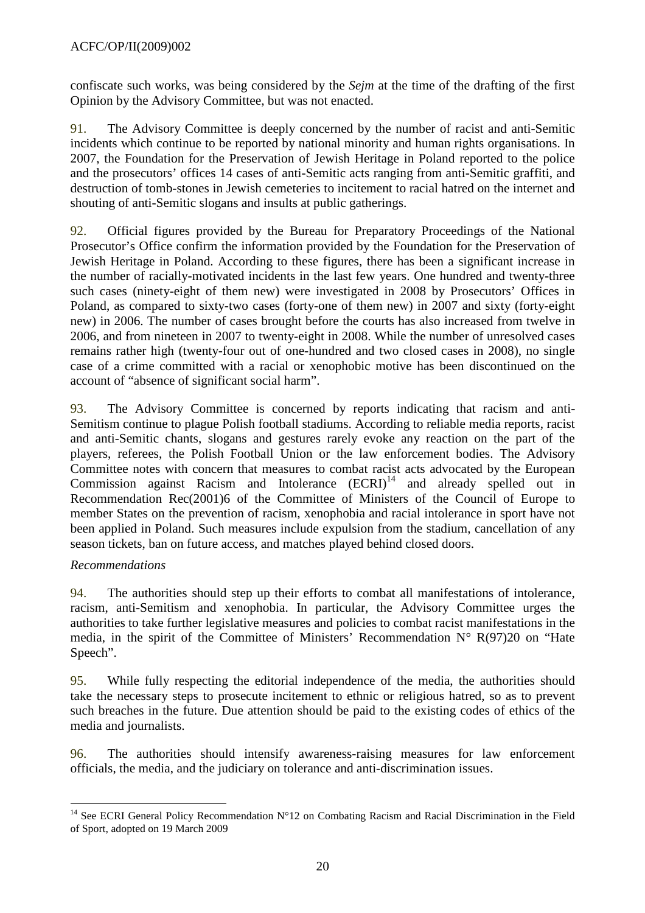confiscate such works, was being considered by the *Sejm* at the time of the drafting of the first Opinion by the Advisory Committee, but was not enacted.

91. The Advisory Committee is deeply concerned by the number of racist and anti-Semitic incidents which continue to be reported by national minority and human rights organisations. In 2007, the Foundation for the Preservation of Jewish Heritage in Poland reported to the police and the prosecutors' offices 14 cases of anti-Semitic acts ranging from anti-Semitic graffiti, and destruction of tomb-stones in Jewish cemeteries to incitement to racial hatred on the internet and shouting of anti-Semitic slogans and insults at public gatherings.

92. Official figures provided by the Bureau for Preparatory Proceedings of the National Prosecutor's Office confirm the information provided by the Foundation for the Preservation of Jewish Heritage in Poland. According to these figures, there has been a significant increase in the number of racially-motivated incidents in the last few years. One hundred and twenty-three such cases (ninety-eight of them new) were investigated in 2008 by Prosecutors' Offices in Poland, as compared to sixty-two cases (forty-one of them new) in 2007 and sixty (forty-eight new) in 2006. The number of cases brought before the courts has also increased from twelve in 2006, and from nineteen in 2007 to twenty-eight in 2008. While the number of unresolved cases remains rather high (twenty-four out of one-hundred and two closed cases in 2008), no single case of a crime committed with a racial or xenophobic motive has been discontinued on the account of "absence of significant social harm".

93. The Advisory Committee is concerned by reports indicating that racism and anti-Semitism continue to plague Polish football stadiums. According to reliable media reports, racist and anti-Semitic chants, slogans and gestures rarely evoke any reaction on the part of the players, referees, the Polish Football Union or the law enforcement bodies. The Advisory Committee notes with concern that measures to combat racist acts advocated by the European Commission against Racism and Intolerance  $(ECRI)^{14}$  and already spelled out in Recommendation Rec(2001)6 of the Committee of Ministers of the Council of Europe to member States on the prevention of racism, xenophobia and racial intolerance in sport have not been applied in Poland. Such measures include expulsion from the stadium, cancellation of any season tickets, ban on future access, and matches played behind closed doors.

# *Recommendations*

94. The authorities should step up their efforts to combat all manifestations of intolerance, racism, anti-Semitism and xenophobia. In particular, the Advisory Committee urges the authorities to take further legislative measures and policies to combat racist manifestations in the media, in the spirit of the Committee of Ministers' Recommendation  $N^{\circ} R(97)20$  on "Hate Speech".

95. While fully respecting the editorial independence of the media, the authorities should take the necessary steps to prosecute incitement to ethnic or religious hatred, so as to prevent such breaches in the future. Due attention should be paid to the existing codes of ethics of the media and journalists.

96. The authorities should intensify awareness-raising measures for law enforcement officials, the media, and the judiciary on tolerance and anti-discrimination issues.

 $\overline{a}$ <sup>14</sup> See ECRI General Policy Recommendation  $N^{\circ}12$  on Combating Racism and Racial Discrimination in the Field of Sport, adopted on 19 March 2009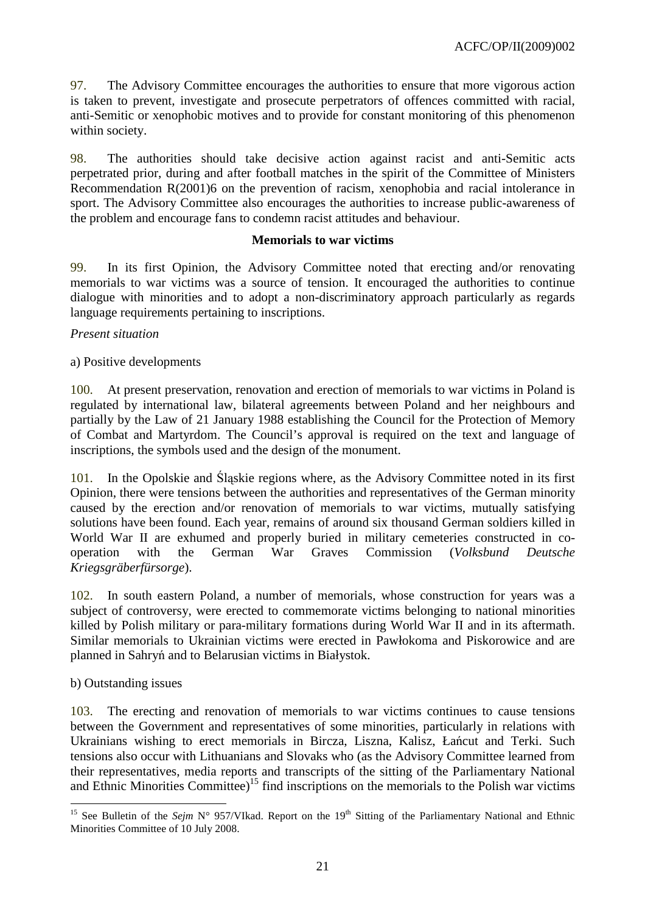97. The Advisory Committee encourages the authorities to ensure that more vigorous action is taken to prevent, investigate and prosecute perpetrators of offences committed with racial, anti-Semitic or xenophobic motives and to provide for constant monitoring of this phenomenon within society.

98. The authorities should take decisive action against racist and anti-Semitic acts perpetrated prior, during and after football matches in the spirit of the Committee of Ministers Recommendation R(2001)6 on the prevention of racism, xenophobia and racial intolerance in sport. The Advisory Committee also encourages the authorities to increase public-awareness of the problem and encourage fans to condemn racist attitudes and behaviour.

#### **Memorials to war victims**

99. In its first Opinion, the Advisory Committee noted that erecting and/or renovating memorials to war victims was a source of tension. It encouraged the authorities to continue dialogue with minorities and to adopt a non-discriminatory approach particularly as regards language requirements pertaining to inscriptions.

### *Present situation*

### a) Positive developments

100. At present preservation, renovation and erection of memorials to war victims in Poland is regulated by international law, bilateral agreements between Poland and her neighbours and partially by the Law of 21 January 1988 establishing the Council for the Protection of Memory of Combat and Martyrdom. The Council's approval is required on the text and language of inscriptions, the symbols used and the design of the monument.

101. In the Opolskie and Śląskie regions where, as the Advisory Committee noted in its first Opinion, there were tensions between the authorities and representatives of the German minority caused by the erection and/or renovation of memorials to war victims, mutually satisfying solutions have been found. Each year, remains of around six thousand German soldiers killed in World War II are exhumed and properly buried in military cemeteries constructed in cooperation with the German War Graves Commission (*Volksbund Deutsche Kriegsgräberfürsorge*).

102. In south eastern Poland, a number of memorials, whose construction for years was a subject of controversy, were erected to commemorate victims belonging to national minorities killed by Polish military or para-military formations during World War II and in its aftermath. Similar memorials to Ukrainian victims were erected in Pawłokoma and Piskorowice and are planned in Sahryń and to Belarusian victims in Białystok.

# b) Outstanding issues

103. The erecting and renovation of memorials to war victims continues to cause tensions between the Government and representatives of some minorities, particularly in relations with Ukrainians wishing to erect memorials in Bircza, Liszna, Kalisz, Łańcut and Terki. Such tensions also occur with Lithuanians and Slovaks who (as the Advisory Committee learned from their representatives, media reports and transcripts of the sitting of the Parliamentary National and Ethnic Minorities Committee)<sup>15</sup> find inscriptions on the memorials to the Polish war victims

 $\overline{a}$ <sup>15</sup> See Bulletin of the *Sejm* N° 957/VIkad. Report on the 19<sup>th</sup> Sitting of the Parliamentary National and Ethnic Minorities Committee of 10 July 2008.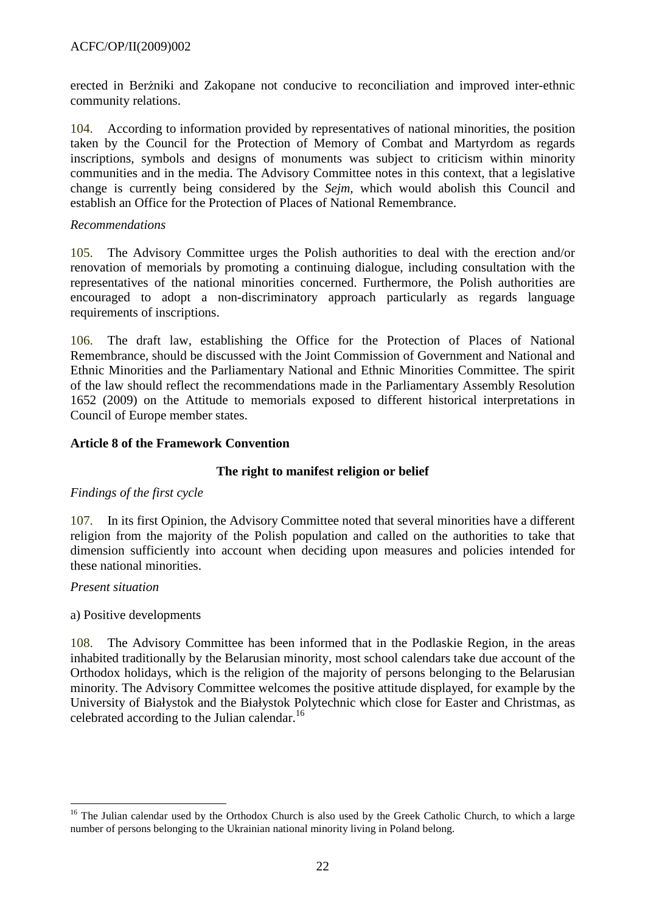erected in Berżniki and Zakopane not conducive to reconciliation and improved inter-ethnic community relations.

104. According to information provided by representatives of national minorities, the position taken by the Council for the Protection of Memory of Combat and Martyrdom as regards inscriptions, symbols and designs of monuments was subject to criticism within minority communities and in the media. The Advisory Committee notes in this context, that a legislative change is currently being considered by the *Sejm,* which would abolish this Council and establish an Office for the Protection of Places of National Remembrance.

### *Recommendations*

105. The Advisory Committee urges the Polish authorities to deal with the erection and/or renovation of memorials by promoting a continuing dialogue, including consultation with the representatives of the national minorities concerned. Furthermore, the Polish authorities are encouraged to adopt a non-discriminatory approach particularly as regards language requirements of inscriptions.

106. The draft law, establishing the Office for the Protection of Places of National Remembrance, should be discussed with the Joint Commission of Government and National and Ethnic Minorities and the Parliamentary National and Ethnic Minorities Committee. The spirit of the law should reflect the recommendations made in the Parliamentary Assembly Resolution 1652 (2009) on the Attitude to memorials exposed to different historical interpretations in Council of Europe member states.

# **Article 8 of the Framework Convention**

#### **The right to manifest religion or belief**

#### *Findings of the first cycle*

107. In its first Opinion, the Advisory Committee noted that several minorities have a different religion from the majority of the Polish population and called on the authorities to take that dimension sufficiently into account when deciding upon measures and policies intended for these national minorities.

#### *Present situation*

#### a) Positive developments

108. The Advisory Committee has been informed that in the Podlaskie Region, in the areas inhabited traditionally by the Belarusian minority, most school calendars take due account of the Orthodox holidays, which is the religion of the majority of persons belonging to the Belarusian minority. The Advisory Committee welcomes the positive attitude displayed, for example by the University of Białystok and the Białystok Polytechnic which close for Easter and Christmas, as celebrated according to the Julian calendar.<sup>16</sup>

 $\overline{a}$ <sup>16</sup> The Julian calendar used by the Orthodox Church is also used by the Greek Catholic Church, to which a large number of persons belonging to the Ukrainian national minority living in Poland belong.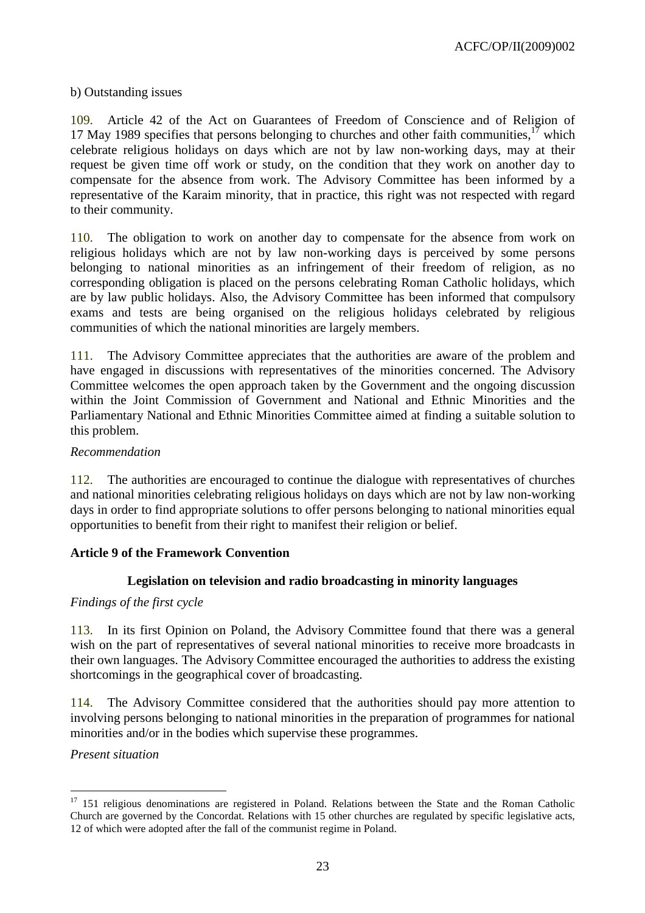ACFC/OP/II(2009)002

#### b) Outstanding issues

109. Article 42 of the Act on Guarantees of Freedom of Conscience and of Religion of 17 May 1989 specifies that persons belonging to churches and other faith communities,  $17$  which celebrate religious holidays on days which are not by law non-working days, may at their request be given time off work or study, on the condition that they work on another day to compensate for the absence from work. The Advisory Committee has been informed by a representative of the Karaim minority, that in practice, this right was not respected with regard to their community.

110. The obligation to work on another day to compensate for the absence from work on religious holidays which are not by law non-working days is perceived by some persons belonging to national minorities as an infringement of their freedom of religion, as no corresponding obligation is placed on the persons celebrating Roman Catholic holidays, which are by law public holidays. Also, the Advisory Committee has been informed that compulsory exams and tests are being organised on the religious holidays celebrated by religious communities of which the national minorities are largely members.

111. The Advisory Committee appreciates that the authorities are aware of the problem and have engaged in discussions with representatives of the minorities concerned. The Advisory Committee welcomes the open approach taken by the Government and the ongoing discussion within the Joint Commission of Government and National and Ethnic Minorities and the Parliamentary National and Ethnic Minorities Committee aimed at finding a suitable solution to this problem.

#### *Recommendation*

112. The authorities are encouraged to continue the dialogue with representatives of churches and national minorities celebrating religious holidays on days which are not by law non-working days in order to find appropriate solutions to offer persons belonging to national minorities equal opportunities to benefit from their right to manifest their religion or belief.

### **Article 9 of the Framework Convention**

#### **Legislation on television and radio broadcasting in minority languages**

#### *Findings of the first cycle*

113. In its first Opinion on Poland, the Advisory Committee found that there was a general wish on the part of representatives of several national minorities to receive more broadcasts in their own languages. The Advisory Committee encouraged the authorities to address the existing shortcomings in the geographical cover of broadcasting.

114. The Advisory Committee considered that the authorities should pay more attention to involving persons belonging to national minorities in the preparation of programmes for national minorities and/or in the bodies which supervise these programmes.

#### *Present situation*

 $\overline{a}$ 

<sup>&</sup>lt;sup>17</sup> 151 religious denominations are registered in Poland. Relations between the State and the Roman Catholic Church are governed by the Concordat. Relations with 15 other churches are regulated by specific legislative acts, 12 of which were adopted after the fall of the communist regime in Poland.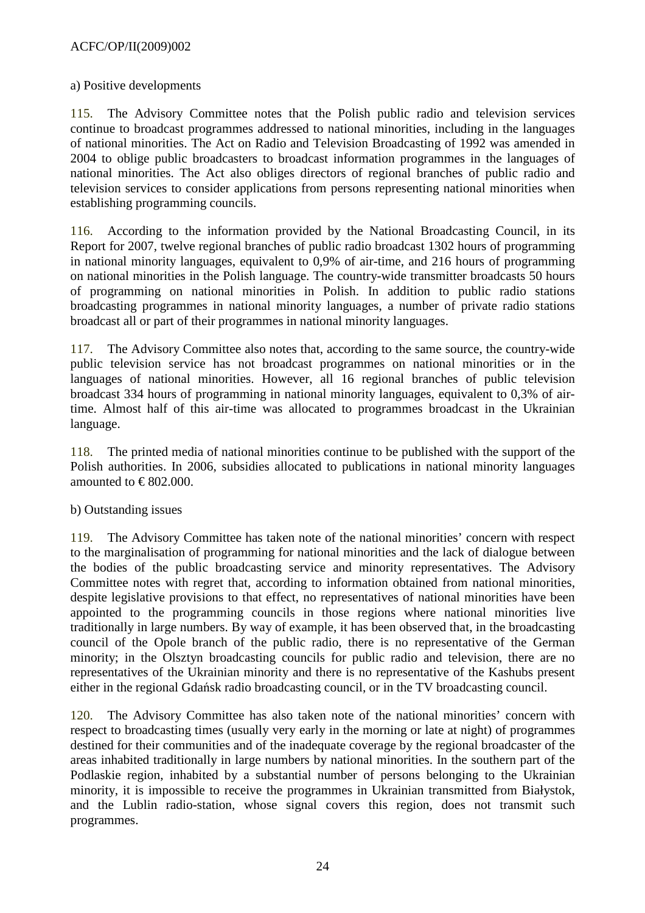### a) Positive developments

115. The Advisory Committee notes that the Polish public radio and television services continue to broadcast programmes addressed to national minorities, including in the languages of national minorities. The Act on Radio and Television Broadcasting of 1992 was amended in 2004 to oblige public broadcasters to broadcast information programmes in the languages of national minorities. The Act also obliges directors of regional branches of public radio and television services to consider applications from persons representing national minorities when establishing programming councils.

116. According to the information provided by the National Broadcasting Council, in its Report for 2007, twelve regional branches of public radio broadcast 1302 hours of programming in national minority languages, equivalent to 0,9% of air-time, and 216 hours of programming on national minorities in the Polish language. The country-wide transmitter broadcasts 50 hours of programming on national minorities in Polish. In addition to public radio stations broadcasting programmes in national minority languages, a number of private radio stations broadcast all or part of their programmes in national minority languages.

117. The Advisory Committee also notes that, according to the same source, the country-wide public television service has not broadcast programmes on national minorities or in the languages of national minorities. However, all 16 regional branches of public television broadcast 334 hours of programming in national minority languages, equivalent to 0,3% of airtime. Almost half of this air-time was allocated to programmes broadcast in the Ukrainian language.

118. The printed media of national minorities continue to be published with the support of the Polish authorities. In 2006, subsidies allocated to publications in national minority languages amounted to  $\in$  802.000.

#### b) Outstanding issues

119. The Advisory Committee has taken note of the national minorities' concern with respect to the marginalisation of programming for national minorities and the lack of dialogue between the bodies of the public broadcasting service and minority representatives. The Advisory Committee notes with regret that, according to information obtained from national minorities, despite legislative provisions to that effect, no representatives of national minorities have been appointed to the programming councils in those regions where national minorities live traditionally in large numbers. By way of example, it has been observed that, in the broadcasting council of the Opole branch of the public radio, there is no representative of the German minority; in the Olsztyn broadcasting councils for public radio and television, there are no representatives of the Ukrainian minority and there is no representative of the Kashubs present either in the regional Gdańsk radio broadcasting council, or in the TV broadcasting council.

120. The Advisory Committee has also taken note of the national minorities' concern with respect to broadcasting times (usually very early in the morning or late at night) of programmes destined for their communities and of the inadequate coverage by the regional broadcaster of the areas inhabited traditionally in large numbers by national minorities. In the southern part of the Podlaskie region, inhabited by a substantial number of persons belonging to the Ukrainian minority, it is impossible to receive the programmes in Ukrainian transmitted from Białystok, and the Lublin radio-station, whose signal covers this region, does not transmit such programmes.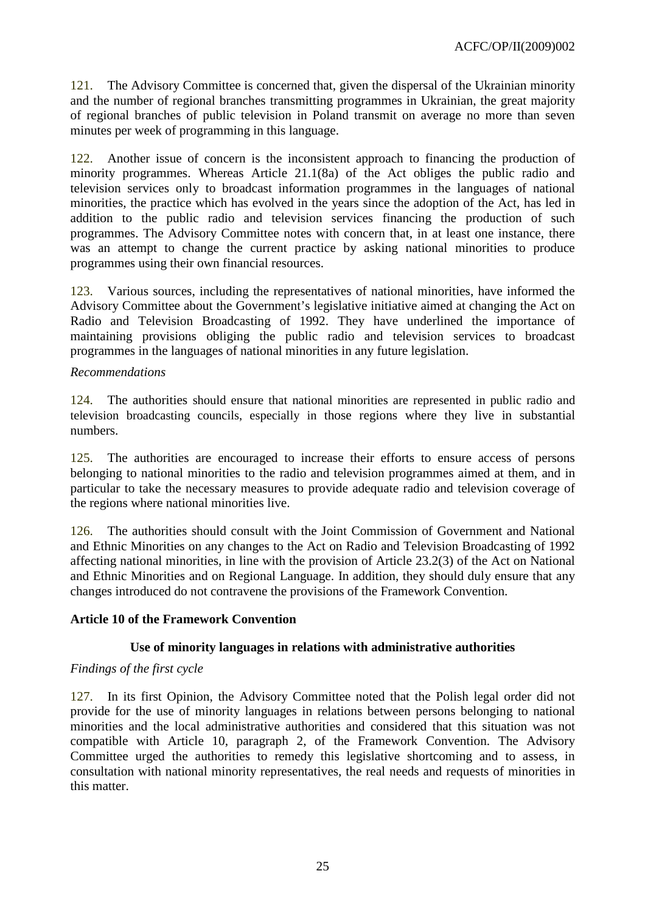121. The Advisory Committee is concerned that, given the dispersal of the Ukrainian minority and the number of regional branches transmitting programmes in Ukrainian, the great majority of regional branches of public television in Poland transmit on average no more than seven minutes per week of programming in this language.

122. Another issue of concern is the inconsistent approach to financing the production of minority programmes. Whereas Article 21.1(8a) of the Act obliges the public radio and television services only to broadcast information programmes in the languages of national minorities, the practice which has evolved in the years since the adoption of the Act, has led in addition to the public radio and television services financing the production of such programmes. The Advisory Committee notes with concern that, in at least one instance, there was an attempt to change the current practice by asking national minorities to produce programmes using their own financial resources.

123. Various sources, including the representatives of national minorities, have informed the Advisory Committee about the Government's legislative initiative aimed at changing the Act on Radio and Television Broadcasting of 1992. They have underlined the importance of maintaining provisions obliging the public radio and television services to broadcast programmes in the languages of national minorities in any future legislation.

### *Recommendations*

124. The authorities should ensure that national minorities are represented in public radio and television broadcasting councils, especially in those regions where they live in substantial numbers.

125. The authorities are encouraged to increase their efforts to ensure access of persons belonging to national minorities to the radio and television programmes aimed at them, and in particular to take the necessary measures to provide adequate radio and television coverage of the regions where national minorities live.

126. The authorities should consult with the Joint Commission of Government and National and Ethnic Minorities on any changes to the Act on Radio and Television Broadcasting of 1992 affecting national minorities, in line with the provision of Article 23.2(3) of the Act on National and Ethnic Minorities and on Regional Language. In addition, they should duly ensure that any changes introduced do not contravene the provisions of the Framework Convention.

# **Article 10 of the Framework Convention**

# **Use of minority languages in relations with administrative authorities**

#### *Findings of the first cycle*

127. In its first Opinion, the Advisory Committee noted that the Polish legal order did not provide for the use of minority languages in relations between persons belonging to national minorities and the local administrative authorities and considered that this situation was not compatible with Article 10, paragraph 2, of the Framework Convention. The Advisory Committee urged the authorities to remedy this legislative shortcoming and to assess, in consultation with national minority representatives, the real needs and requests of minorities in this matter.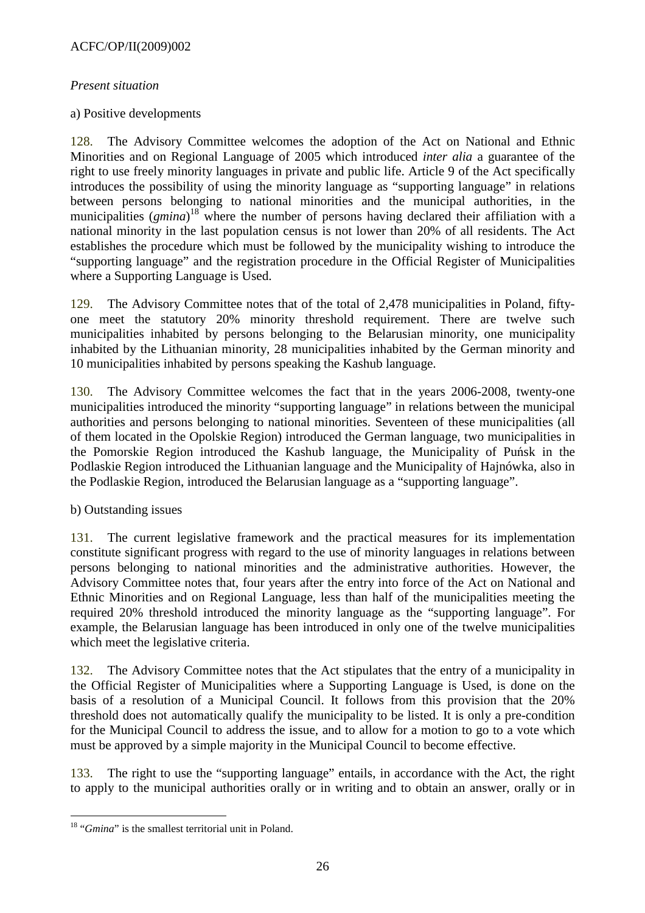### *Present situation*

### a) Positive developments

128. The Advisory Committee welcomes the adoption of the Act on National and Ethnic Minorities and on Regional Language of 2005 which introduced *inter alia* a guarantee of the right to use freely minority languages in private and public life. Article 9 of the Act specifically introduces the possibility of using the minority language as "supporting language" in relations between persons belonging to national minorities and the municipal authorities, in the municipalities (*gmina*) <sup>18</sup> where the number of persons having declared their affiliation with a national minority in the last population census is not lower than 20% of all residents. The Act establishes the procedure which must be followed by the municipality wishing to introduce the "supporting language" and the registration procedure in the Official Register of Municipalities where a Supporting Language is Used.

129. The Advisory Committee notes that of the total of 2,478 municipalities in Poland, fiftyone meet the statutory 20% minority threshold requirement. There are twelve such municipalities inhabited by persons belonging to the Belarusian minority, one municipality inhabited by the Lithuanian minority, 28 municipalities inhabited by the German minority and 10 municipalities inhabited by persons speaking the Kashub language.

130. The Advisory Committee welcomes the fact that in the years 2006-2008, twenty-one municipalities introduced the minority "supporting language" in relations between the municipal authorities and persons belonging to national minorities. Seventeen of these municipalities (all of them located in the Opolskie Region) introduced the German language, two municipalities in the Pomorskie Region introduced the Kashub language, the Municipality of Puńsk in the Podlaskie Region introduced the Lithuanian language and the Municipality of Hajnówka, also in the Podlaskie Region, introduced the Belarusian language as a "supporting language".

#### b) Outstanding issues

131. The current legislative framework and the practical measures for its implementation constitute significant progress with regard to the use of minority languages in relations between persons belonging to national minorities and the administrative authorities. However, the Advisory Committee notes that, four years after the entry into force of the Act on National and Ethnic Minorities and on Regional Language, less than half of the municipalities meeting the required 20% threshold introduced the minority language as the "supporting language". For example, the Belarusian language has been introduced in only one of the twelve municipalities which meet the legislative criteria.

132. The Advisory Committee notes that the Act stipulates that the entry of a municipality in the Official Register of Municipalities where a Supporting Language is Used, is done on the basis of a resolution of a Municipal Council. It follows from this provision that the 20% threshold does not automatically qualify the municipality to be listed. It is only a pre-condition for the Municipal Council to address the issue, and to allow for a motion to go to a vote which must be approved by a simple majority in the Municipal Council to become effective.

133. The right to use the "supporting language" entails, in accordance with the Act, the right to apply to the municipal authorities orally or in writing and to obtain an answer, orally or in

 $\overline{a}$ <sup>18</sup> "*Gmina*" is the smallest territorial unit in Poland.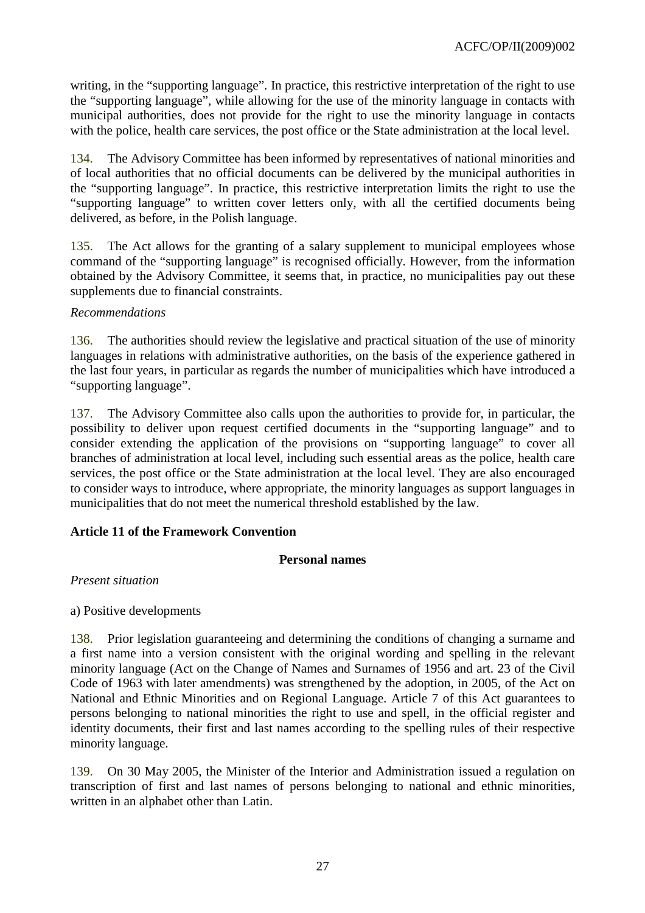writing, in the "supporting language". In practice, this restrictive interpretation of the right to use the "supporting language", while allowing for the use of the minority language in contacts with municipal authorities, does not provide for the right to use the minority language in contacts with the police, health care services, the post office or the State administration at the local level.

134. The Advisory Committee has been informed by representatives of national minorities and of local authorities that no official documents can be delivered by the municipal authorities in the "supporting language". In practice, this restrictive interpretation limits the right to use the "supporting language" to written cover letters only, with all the certified documents being delivered, as before, in the Polish language.

135. The Act allows for the granting of a salary supplement to municipal employees whose command of the "supporting language" is recognised officially. However, from the information obtained by the Advisory Committee, it seems that, in practice, no municipalities pay out these supplements due to financial constraints.

# *Recommendations*

136. The authorities should review the legislative and practical situation of the use of minority languages in relations with administrative authorities, on the basis of the experience gathered in the last four years, in particular as regards the number of municipalities which have introduced a "supporting language".

137. The Advisory Committee also calls upon the authorities to provide for, in particular, the possibility to deliver upon request certified documents in the "supporting language" and to consider extending the application of the provisions on "supporting language" to cover all branches of administration at local level, including such essential areas as the police, health care services, the post office or the State administration at the local level. They are also encouraged to consider ways to introduce, where appropriate, the minority languages as support languages in municipalities that do not meet the numerical threshold established by the law.

# **Article 11 of the Framework Convention**

# **Personal names**

*Present situation* 

a) Positive developments

138. Prior legislation guaranteeing and determining the conditions of changing a surname and a first name into a version consistent with the original wording and spelling in the relevant minority language (Act on the Change of Names and Surnames of 1956 and art. 23 of the Civil Code of 1963 with later amendments) was strengthened by the adoption, in 2005, of the Act on National and Ethnic Minorities and on Regional Language. Article 7 of this Act guarantees to persons belonging to national minorities the right to use and spell, in the official register and identity documents, their first and last names according to the spelling rules of their respective minority language.

139. On 30 May 2005, the Minister of the Interior and Administration issued a regulation on transcription of first and last names of persons belonging to national and ethnic minorities, written in an alphabet other than Latin.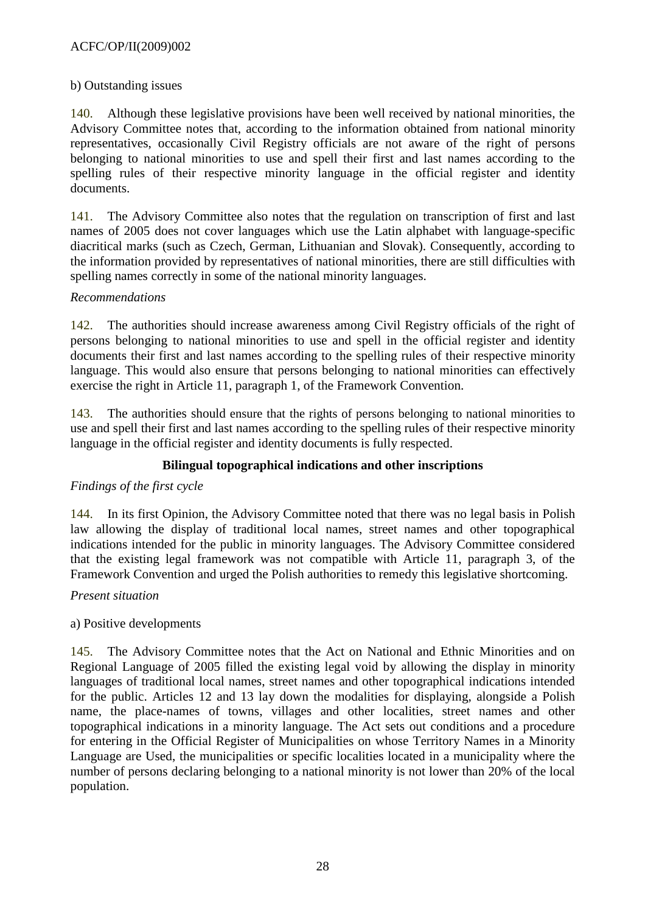### ACFC/OP/II(2009)002

#### b) Outstanding issues

140. Although these legislative provisions have been well received by national minorities, the Advisory Committee notes that, according to the information obtained from national minority representatives, occasionally Civil Registry officials are not aware of the right of persons belonging to national minorities to use and spell their first and last names according to the spelling rules of their respective minority language in the official register and identity documents.

141. The Advisory Committee also notes that the regulation on transcription of first and last names of 2005 does not cover languages which use the Latin alphabet with language-specific diacritical marks (such as Czech, German, Lithuanian and Slovak). Consequently, according to the information provided by representatives of national minorities, there are still difficulties with spelling names correctly in some of the national minority languages.

### *Recommendations*

142. The authorities should increase awareness among Civil Registry officials of the right of persons belonging to national minorities to use and spell in the official register and identity documents their first and last names according to the spelling rules of their respective minority language. This would also ensure that persons belonging to national minorities can effectively exercise the right in Article 11, paragraph 1, of the Framework Convention.

143. The authorities should ensure that the rights of persons belonging to national minorities to use and spell their first and last names according to the spelling rules of their respective minority language in the official register and identity documents is fully respected.

# **Bilingual topographical indications and other inscriptions**

# *Findings of the first cycle*

144. In its first Opinion, the Advisory Committee noted that there was no legal basis in Polish law allowing the display of traditional local names, street names and other topographical indications intended for the public in minority languages. The Advisory Committee considered that the existing legal framework was not compatible with Article 11, paragraph 3, of the Framework Convention and urged the Polish authorities to remedy this legislative shortcoming.

#### *Present situation*

#### a) Positive developments

145. The Advisory Committee notes that the Act on National and Ethnic Minorities and on Regional Language of 2005 filled the existing legal void by allowing the display in minority languages of traditional local names, street names and other topographical indications intended for the public. Articles 12 and 13 lay down the modalities for displaying, alongside a Polish name, the place-names of towns, villages and other localities, street names and other topographical indications in a minority language. The Act sets out conditions and a procedure for entering in the Official Register of Municipalities on whose Territory Names in a Minority Language are Used, the municipalities or specific localities located in a municipality where the number of persons declaring belonging to a national minority is not lower than 20% of the local population.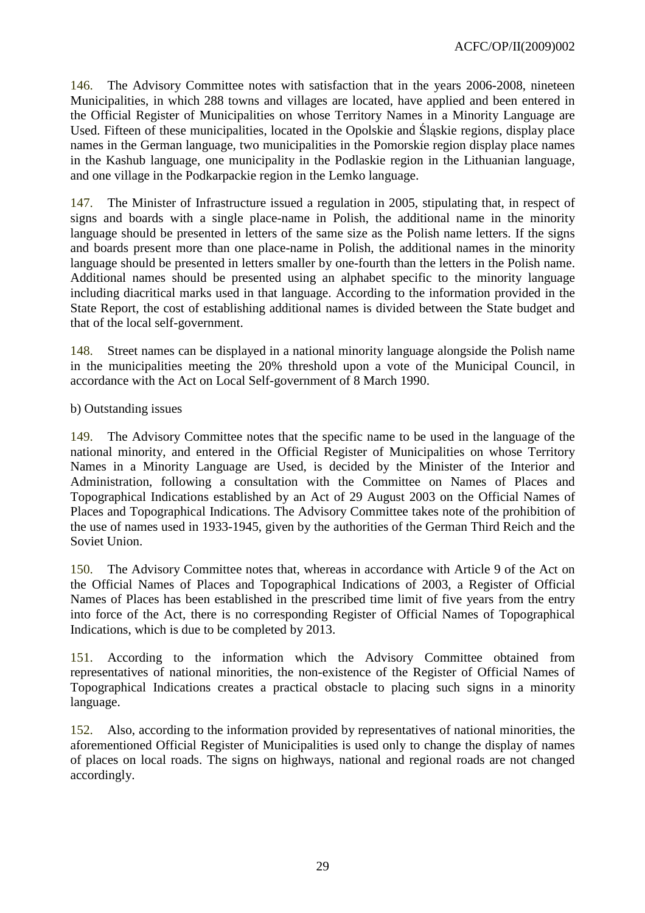146. The Advisory Committee notes with satisfaction that in the years 2006-2008, nineteen Municipalities, in which 288 towns and villages are located, have applied and been entered in the Official Register of Municipalities on whose Territory Names in a Minority Language are Used. Fifteen of these municipalities, located in the Opolskie and Śląskie regions, display place names in the German language, two municipalities in the Pomorskie region display place names in the Kashub language, one municipality in the Podlaskie region in the Lithuanian language, and one village in the Podkarpackie region in the Lemko language.

147. The Minister of Infrastructure issued a regulation in 2005, stipulating that, in respect of signs and boards with a single place-name in Polish, the additional name in the minority language should be presented in letters of the same size as the Polish name letters. If the signs and boards present more than one place-name in Polish, the additional names in the minority language should be presented in letters smaller by one-fourth than the letters in the Polish name. Additional names should be presented using an alphabet specific to the minority language including diacritical marks used in that language. According to the information provided in the State Report, the cost of establishing additional names is divided between the State budget and that of the local self-government.

148. Street names can be displayed in a national minority language alongside the Polish name in the municipalities meeting the 20% threshold upon a vote of the Municipal Council, in accordance with the Act on Local Self-government of 8 March 1990.

b) Outstanding issues

149. The Advisory Committee notes that the specific name to be used in the language of the national minority, and entered in the Official Register of Municipalities on whose Territory Names in a Minority Language are Used, is decided by the Minister of the Interior and Administration, following a consultation with the Committee on Names of Places and Topographical Indications established by an Act of 29 August 2003 on the Official Names of Places and Topographical Indications. The Advisory Committee takes note of the prohibition of the use of names used in 1933-1945, given by the authorities of the German Third Reich and the Soviet Union.

150. The Advisory Committee notes that, whereas in accordance with Article 9 of the Act on the Official Names of Places and Topographical Indications of 2003, a Register of Official Names of Places has been established in the prescribed time limit of five years from the entry into force of the Act, there is no corresponding Register of Official Names of Topographical Indications, which is due to be completed by 2013.

151. According to the information which the Advisory Committee obtained from representatives of national minorities, the non-existence of the Register of Official Names of Topographical Indications creates a practical obstacle to placing such signs in a minority language.

152. Also, according to the information provided by representatives of national minorities, the aforementioned Official Register of Municipalities is used only to change the display of names of places on local roads. The signs on highways, national and regional roads are not changed accordingly.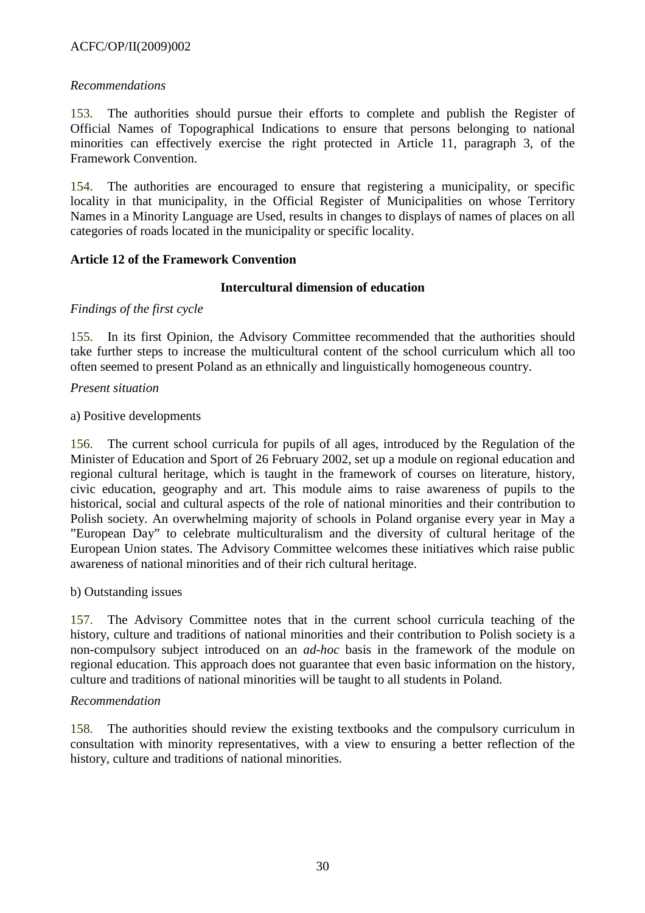# ACFC/OP/II(2009)002

### *Recommendations*

153. The authorities should pursue their efforts to complete and publish the Register of Official Names of Topographical Indications to ensure that persons belonging to national minorities can effectively exercise the right protected in Article 11, paragraph 3, of the Framework Convention.

154. The authorities are encouraged to ensure that registering a municipality, or specific locality in that municipality, in the Official Register of Municipalities on whose Territory Names in a Minority Language are Used, results in changes to displays of names of places on all categories of roads located in the municipality or specific locality.

### **Article 12 of the Framework Convention**

### **Intercultural dimension of education**

#### *Findings of the first cycle*

155. In its first Opinion, the Advisory Committee recommended that the authorities should take further steps to increase the multicultural content of the school curriculum which all too often seemed to present Poland as an ethnically and linguistically homogeneous country.

### *Present situation*

#### a) Positive developments

156. The current school curricula for pupils of all ages, introduced by the Regulation of the Minister of Education and Sport of 26 February 2002, set up a module on regional education and regional cultural heritage, which is taught in the framework of courses on literature, history, civic education, geography and art. This module aims to raise awareness of pupils to the historical, social and cultural aspects of the role of national minorities and their contribution to Polish society. An overwhelming majority of schools in Poland organise every year in May a "European Day" to celebrate multiculturalism and the diversity of cultural heritage of the European Union states. The Advisory Committee welcomes these initiatives which raise public awareness of national minorities and of their rich cultural heritage.

#### b) Outstanding issues

157. The Advisory Committee notes that in the current school curricula teaching of the history, culture and traditions of national minorities and their contribution to Polish society is a non-compulsory subject introduced on an *ad-hoc* basis in the framework of the module on regional education. This approach does not guarantee that even basic information on the history, culture and traditions of national minorities will be taught to all students in Poland.

#### *Recommendation*

158. The authorities should review the existing textbooks and the compulsory curriculum in consultation with minority representatives, with a view to ensuring a better reflection of the history, culture and traditions of national minorities.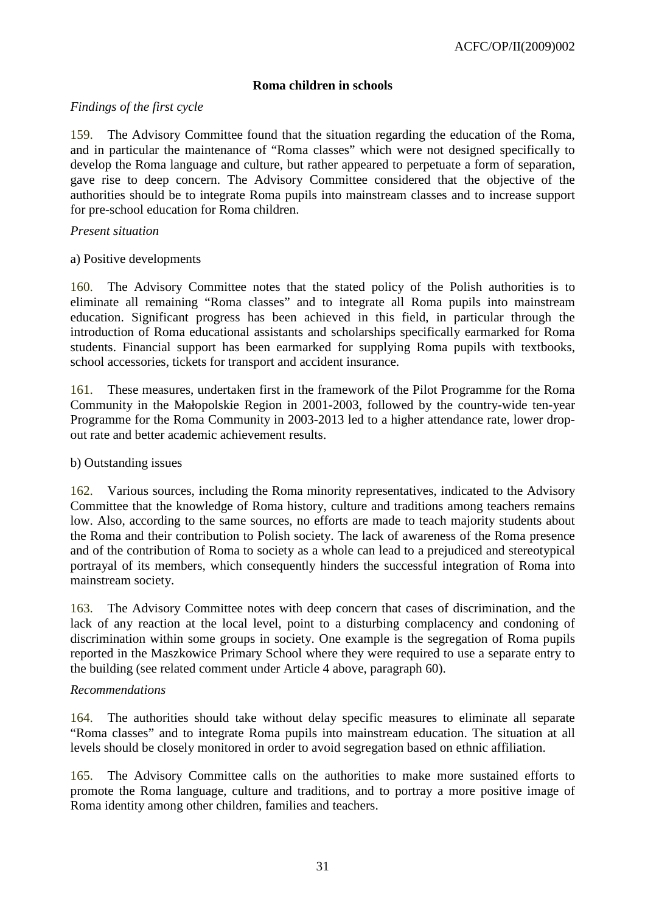# **Roma children in schools**

### *Findings of the first cycle*

159. The Advisory Committee found that the situation regarding the education of the Roma, and in particular the maintenance of "Roma classes" which were not designed specifically to develop the Roma language and culture, but rather appeared to perpetuate a form of separation, gave rise to deep concern. The Advisory Committee considered that the objective of the authorities should be to integrate Roma pupils into mainstream classes and to increase support for pre-school education for Roma children.

#### *Present situation*

### a) Positive developments

160. The Advisory Committee notes that the stated policy of the Polish authorities is to eliminate all remaining "Roma classes" and to integrate all Roma pupils into mainstream education. Significant progress has been achieved in this field, in particular through the introduction of Roma educational assistants and scholarships specifically earmarked for Roma students. Financial support has been earmarked for supplying Roma pupils with textbooks, school accessories, tickets for transport and accident insurance.

161. These measures, undertaken first in the framework of the Pilot Programme for the Roma Community in the Małopolskie Region in 2001-2003, followed by the country-wide ten-year Programme for the Roma Community in 2003-2013 led to a higher attendance rate, lower dropout rate and better academic achievement results.

### b) Outstanding issues

162. Various sources, including the Roma minority representatives, indicated to the Advisory Committee that the knowledge of Roma history, culture and traditions among teachers remains low. Also, according to the same sources, no efforts are made to teach majority students about the Roma and their contribution to Polish society. The lack of awareness of the Roma presence and of the contribution of Roma to society as a whole can lead to a prejudiced and stereotypical portrayal of its members, which consequently hinders the successful integration of Roma into mainstream society.

163. The Advisory Committee notes with deep concern that cases of discrimination, and the lack of any reaction at the local level, point to a disturbing complacency and condoning of discrimination within some groups in society. One example is the segregation of Roma pupils reported in the Maszkowice Primary School where they were required to use a separate entry to the building (see related comment under Article 4 above, paragraph 60).

#### *Recommendations*

164. The authorities should take without delay specific measures to eliminate all separate "Roma classes" and to integrate Roma pupils into mainstream education. The situation at all levels should be closely monitored in order to avoid segregation based on ethnic affiliation.

165. The Advisory Committee calls on the authorities to make more sustained efforts to promote the Roma language, culture and traditions, and to portray a more positive image of Roma identity among other children, families and teachers.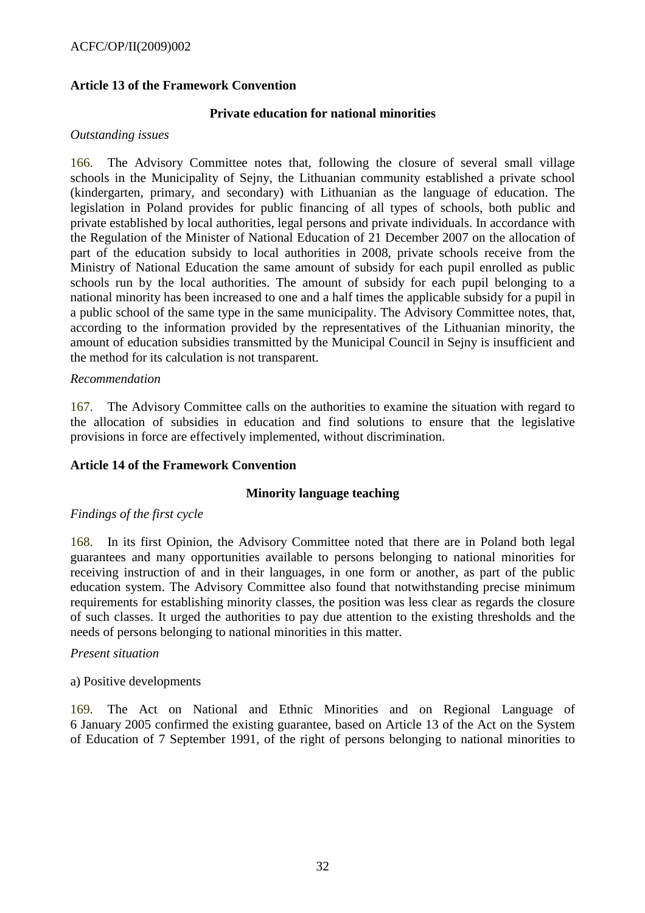# **Article 13 of the Framework Convention**

#### **Private education for national minorities**

### *Outstanding issues*

166. The Advisory Committee notes that, following the closure of several small village schools in the Municipality of Sejny, the Lithuanian community established a private school (kindergarten, primary, and secondary) with Lithuanian as the language of education. The legislation in Poland provides for public financing of all types of schools, both public and private established by local authorities, legal persons and private individuals. In accordance with the Regulation of the Minister of National Education of 21 December 2007 on the allocation of part of the education subsidy to local authorities in 2008, private schools receive from the Ministry of National Education the same amount of subsidy for each pupil enrolled as public schools run by the local authorities. The amount of subsidy for each pupil belonging to a national minority has been increased to one and a half times the applicable subsidy for a pupil in a public school of the same type in the same municipality. The Advisory Committee notes, that, according to the information provided by the representatives of the Lithuanian minority, the amount of education subsidies transmitted by the Municipal Council in Sejny is insufficient and the method for its calculation is not transparent.

#### *Recommendation*

167. The Advisory Committee calls on the authorities to examine the situation with regard to the allocation of subsidies in education and find solutions to ensure that the legislative provisions in force are effectively implemented, without discrimination.

# **Article 14 of the Framework Convention**

### **Minority language teaching**

#### *Findings of the first cycle*

168. In its first Opinion, the Advisory Committee noted that there are in Poland both legal guarantees and many opportunities available to persons belonging to national minorities for receiving instruction of and in their languages, in one form or another, as part of the public education system. The Advisory Committee also found that notwithstanding precise minimum requirements for establishing minority classes, the position was less clear as regards the closure of such classes. It urged the authorities to pay due attention to the existing thresholds and the needs of persons belonging to national minorities in this matter.

#### *Present situation*

#### a) Positive developments

169. The Act on National and Ethnic Minorities and on Regional Language of 6 January 2005 confirmed the existing guarantee, based on Article 13 of the Act on the System of Education of 7 September 1991, of the right of persons belonging to national minorities to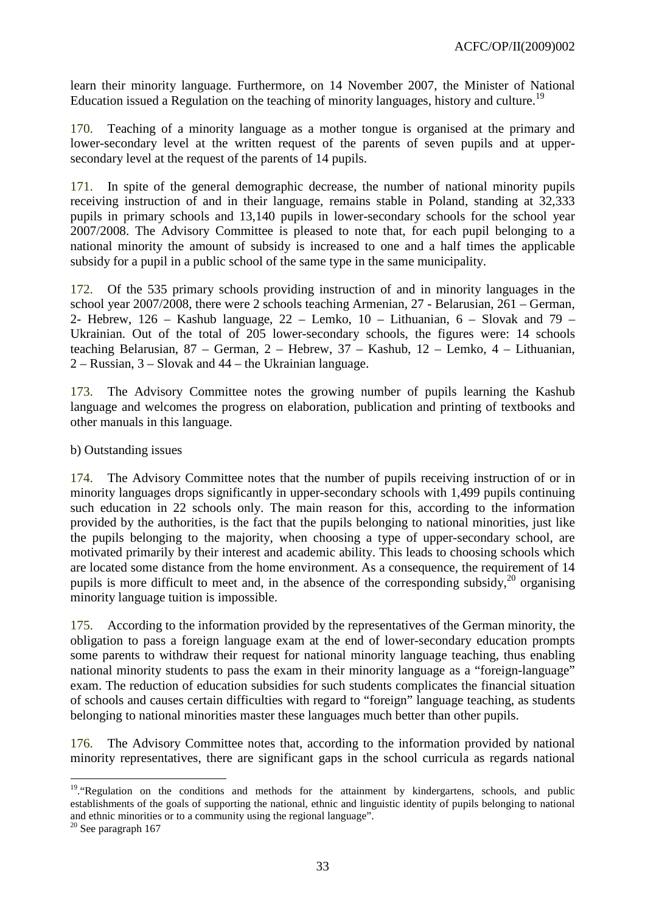learn their minority language. Furthermore, on 14 November 2007, the Minister of National Education issued a Regulation on the teaching of minority languages, history and culture.<sup>19</sup>

170. Teaching of a minority language as a mother tongue is organised at the primary and lower-secondary level at the written request of the parents of seven pupils and at uppersecondary level at the request of the parents of 14 pupils.

171. In spite of the general demographic decrease, the number of national minority pupils receiving instruction of and in their language, remains stable in Poland, standing at 32,333 pupils in primary schools and 13,140 pupils in lower-secondary schools for the school year 2007/2008. The Advisory Committee is pleased to note that, for each pupil belonging to a national minority the amount of subsidy is increased to one and a half times the applicable subsidy for a pupil in a public school of the same type in the same municipality.

172. Of the 535 primary schools providing instruction of and in minority languages in the school year 2007/2008, there were 2 schools teaching Armenian, 27 - Belarusian, 261 – German, 2- Hebrew,  $126$  – Kashub language,  $22$  – Lemko,  $10$  – Lithuanian,  $6$  – Slovak and  $79$  – Ukrainian. Out of the total of 205 lower-secondary schools, the figures were: 14 schools teaching Belarusian, 87 – German, 2 – Hebrew, 37 – Kashub, 12 – Lemko, 4 – Lithuanian, 2 – Russian, 3 – Slovak and 44 – the Ukrainian language.

173. The Advisory Committee notes the growing number of pupils learning the Kashub language and welcomes the progress on elaboration, publication and printing of textbooks and other manuals in this language.

b) Outstanding issues

174. The Advisory Committee notes that the number of pupils receiving instruction of or in minority languages drops significantly in upper-secondary schools with 1,499 pupils continuing such education in 22 schools only. The main reason for this, according to the information provided by the authorities, is the fact that the pupils belonging to national minorities, just like the pupils belonging to the majority, when choosing a type of upper-secondary school, are motivated primarily by their interest and academic ability. This leads to choosing schools which are located some distance from the home environment. As a consequence, the requirement of 14 pupils is more difficult to meet and, in the absence of the corresponding subsidy,<sup>20</sup> organising minority language tuition is impossible.

175. According to the information provided by the representatives of the German minority, the obligation to pass a foreign language exam at the end of lower-secondary education prompts some parents to withdraw their request for national minority language teaching, thus enabling national minority students to pass the exam in their minority language as a "foreign-language" exam. The reduction of education subsidies for such students complicates the financial situation of schools and causes certain difficulties with regard to "foreign" language teaching, as students belonging to national minorities master these languages much better than other pupils.

176. The Advisory Committee notes that, according to the information provided by national minority representatives, there are significant gaps in the school curricula as regards national

 $\overline{a}$ 

<sup>&</sup>lt;sup>19</sup>. "Regulation on the conditions and methods for the attainment by kindergartens, schools, and public establishments of the goals of supporting the national, ethnic and linguistic identity of pupils belonging to national and ethnic minorities or to a community using the regional language".

 $20$  See paragraph 167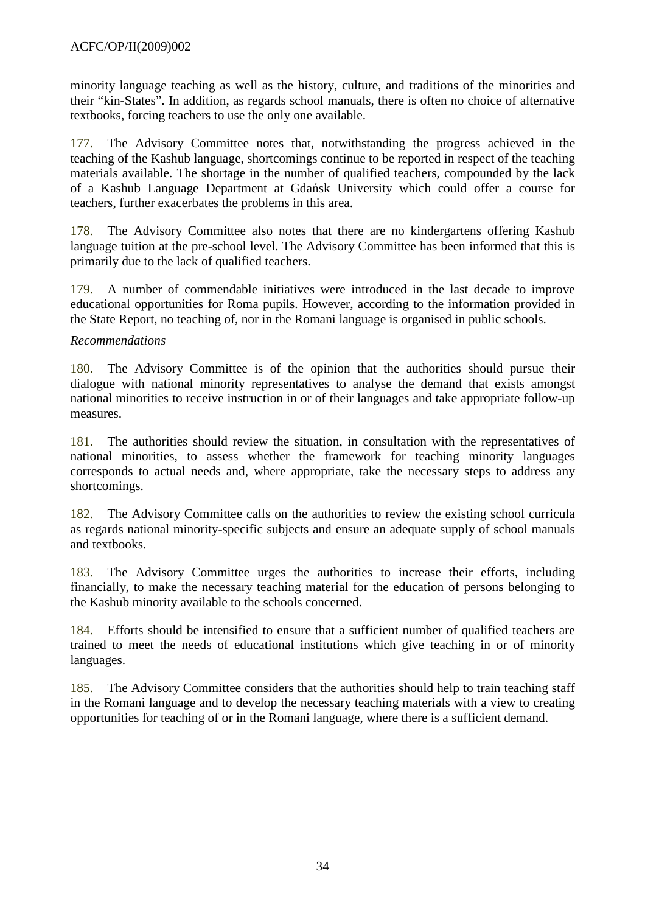minority language teaching as well as the history, culture, and traditions of the minorities and their "kin-States". In addition, as regards school manuals, there is often no choice of alternative textbooks, forcing teachers to use the only one available.

177. The Advisory Committee notes that, notwithstanding the progress achieved in the teaching of the Kashub language, shortcomings continue to be reported in respect of the teaching materials available. The shortage in the number of qualified teachers, compounded by the lack of a Kashub Language Department at Gdańsk University which could offer a course for teachers, further exacerbates the problems in this area.

178. The Advisory Committee also notes that there are no kindergartens offering Kashub language tuition at the pre-school level. The Advisory Committee has been informed that this is primarily due to the lack of qualified teachers.

179. A number of commendable initiatives were introduced in the last decade to improve educational opportunities for Roma pupils. However, according to the information provided in the State Report, no teaching of, nor in the Romani language is organised in public schools.

### *Recommendations*

180. The Advisory Committee is of the opinion that the authorities should pursue their dialogue with national minority representatives to analyse the demand that exists amongst national minorities to receive instruction in or of their languages and take appropriate follow-up measures.

181. The authorities should review the situation, in consultation with the representatives of national minorities, to assess whether the framework for teaching minority languages corresponds to actual needs and, where appropriate, take the necessary steps to address any shortcomings.

182. The Advisory Committee calls on the authorities to review the existing school curricula as regards national minority-specific subjects and ensure an adequate supply of school manuals and textbooks.

183. The Advisory Committee urges the authorities to increase their efforts, including financially, to make the necessary teaching material for the education of persons belonging to the Kashub minority available to the schools concerned.

184. Efforts should be intensified to ensure that a sufficient number of qualified teachers are trained to meet the needs of educational institutions which give teaching in or of minority languages.

185. The Advisory Committee considers that the authorities should help to train teaching staff in the Romani language and to develop the necessary teaching materials with a view to creating opportunities for teaching of or in the Romani language, where there is a sufficient demand.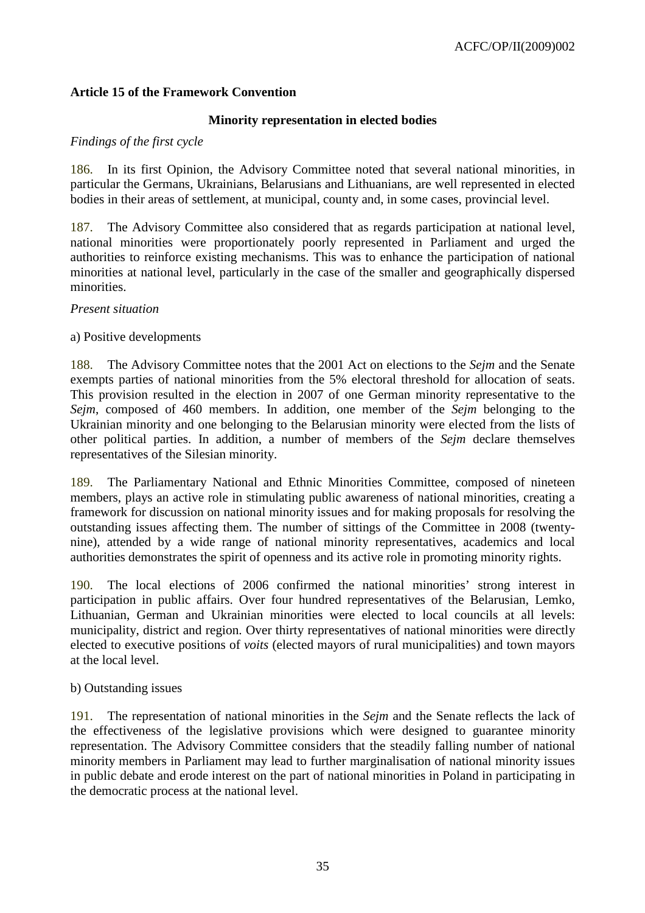### **Article 15 of the Framework Convention**

### **Minority representation in elected bodies**

#### *Findings of the first cycle*

186. In its first Opinion, the Advisory Committee noted that several national minorities, in particular the Germans, Ukrainians, Belarusians and Lithuanians, are well represented in elected bodies in their areas of settlement, at municipal, county and, in some cases, provincial level.

187. The Advisory Committee also considered that as regards participation at national level, national minorities were proportionately poorly represented in Parliament and urged the authorities to reinforce existing mechanisms. This was to enhance the participation of national minorities at national level, particularly in the case of the smaller and geographically dispersed minorities.

*Present situation* 

#### a) Positive developments

188. The Advisory Committee notes that the 2001 Act on elections to the *Sejm* and the Senate exempts parties of national minorities from the 5% electoral threshold for allocation of seats. This provision resulted in the election in 2007 of one German minority representative to the *Sejm*, composed of 460 members. In addition, one member of the *Sejm* belonging to the Ukrainian minority and one belonging to the Belarusian minority were elected from the lists of other political parties. In addition, a number of members of the *Sejm* declare themselves representatives of the Silesian minority.

189. The Parliamentary National and Ethnic Minorities Committee, composed of nineteen members, plays an active role in stimulating public awareness of national minorities, creating a framework for discussion on national minority issues and for making proposals for resolving the outstanding issues affecting them. The number of sittings of the Committee in 2008 (twentynine), attended by a wide range of national minority representatives, academics and local authorities demonstrates the spirit of openness and its active role in promoting minority rights.

190. The local elections of 2006 confirmed the national minorities' strong interest in participation in public affairs. Over four hundred representatives of the Belarusian, Lemko, Lithuanian, German and Ukrainian minorities were elected to local councils at all levels: municipality, district and region. Over thirty representatives of national minorities were directly elected to executive positions of *voits* (elected mayors of rural municipalities) and town mayors at the local level.

#### b) Outstanding issues

191. The representation of national minorities in the *Sejm* and the Senate reflects the lack of the effectiveness of the legislative provisions which were designed to guarantee minority representation. The Advisory Committee considers that the steadily falling number of national minority members in Parliament may lead to further marginalisation of national minority issues in public debate and erode interest on the part of national minorities in Poland in participating in the democratic process at the national level.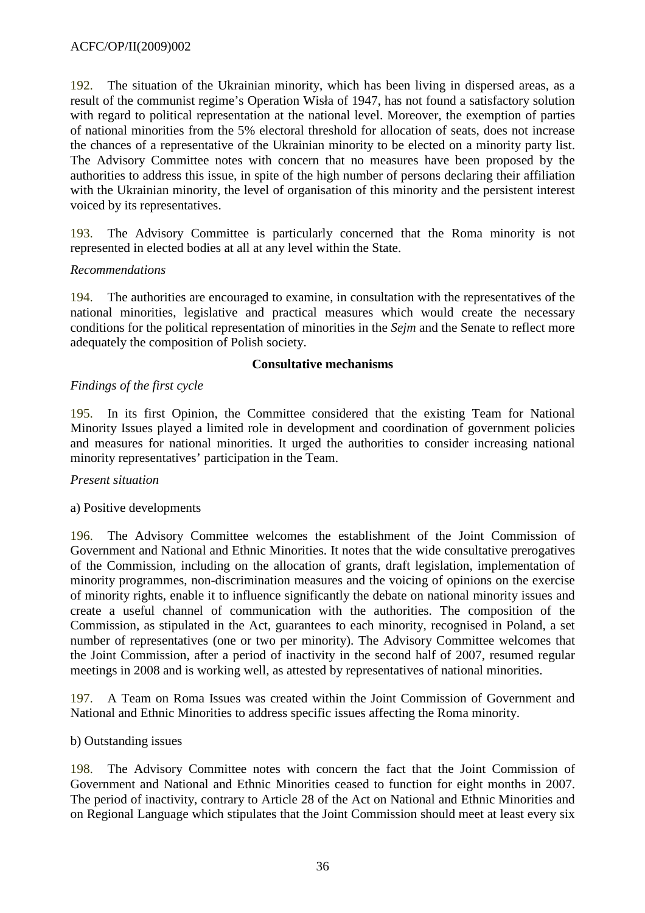192. The situation of the Ukrainian minority, which has been living in dispersed areas, as a result of the communist regime's Operation Wisła of 1947, has not found a satisfactory solution with regard to political representation at the national level. Moreover, the exemption of parties of national minorities from the 5% electoral threshold for allocation of seats, does not increase the chances of a representative of the Ukrainian minority to be elected on a minority party list. The Advisory Committee notes with concern that no measures have been proposed by the authorities to address this issue, in spite of the high number of persons declaring their affiliation with the Ukrainian minority, the level of organisation of this minority and the persistent interest voiced by its representatives.

193. The Advisory Committee is particularly concerned that the Roma minority is not represented in elected bodies at all at any level within the State.

### *Recommendations*

194. The authorities are encouraged to examine, in consultation with the representatives of the national minorities, legislative and practical measures which would create the necessary conditions for the political representation of minorities in the *Sejm* and the Senate to reflect more adequately the composition of Polish society.

#### **Consultative mechanisms**

# *Findings of the first cycle*

195. In its first Opinion, the Committee considered that the existing Team for National Minority Issues played a limited role in development and coordination of government policies and measures for national minorities. It urged the authorities to consider increasing national minority representatives' participation in the Team.

#### *Present situation*

# a) Positive developments

196. The Advisory Committee welcomes the establishment of the Joint Commission of Government and National and Ethnic Minorities. It notes that the wide consultative prerogatives of the Commission, including on the allocation of grants, draft legislation, implementation of minority programmes, non-discrimination measures and the voicing of opinions on the exercise of minority rights, enable it to influence significantly the debate on national minority issues and create a useful channel of communication with the authorities. The composition of the Commission, as stipulated in the Act, guarantees to each minority, recognised in Poland, a set number of representatives (one or two per minority). The Advisory Committee welcomes that the Joint Commission, after a period of inactivity in the second half of 2007, resumed regular meetings in 2008 and is working well, as attested by representatives of national minorities.

197. A Team on Roma Issues was created within the Joint Commission of Government and National and Ethnic Minorities to address specific issues affecting the Roma minority.

#### b) Outstanding issues

198. The Advisory Committee notes with concern the fact that the Joint Commission of Government and National and Ethnic Minorities ceased to function for eight months in 2007. The period of inactivity, contrary to Article 28 of the Act on National and Ethnic Minorities and on Regional Language which stipulates that the Joint Commission should meet at least every six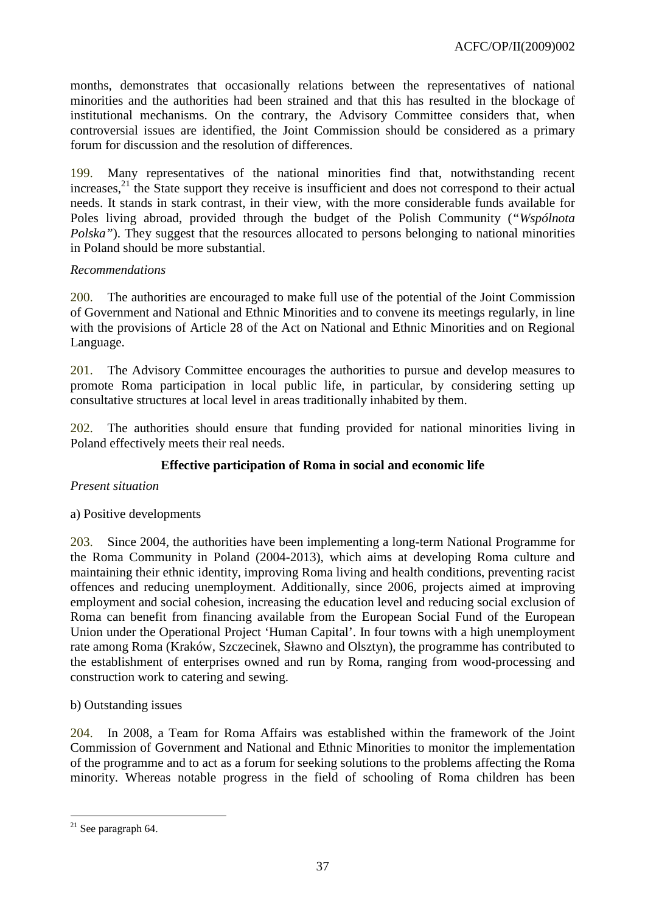months, demonstrates that occasionally relations between the representatives of national minorities and the authorities had been strained and that this has resulted in the blockage of institutional mechanisms. On the contrary, the Advisory Committee considers that, when controversial issues are identified, the Joint Commission should be considered as a primary forum for discussion and the resolution of differences.

199. Many representatives of the national minorities find that, notwithstanding recent increases,<sup>21</sup> the State support they receive is insufficient and does not correspond to their actual needs. It stands in stark contrast, in their view, with the more considerable funds available for Poles living abroad, provided through the budget of the Polish Community (*"Wspólnota Polska*"). They suggest that the resources allocated to persons belonging to national minorities in Poland should be more substantial.

# *Recommendations*

200. The authorities are encouraged to make full use of the potential of the Joint Commission of Government and National and Ethnic Minorities and to convene its meetings regularly, in line with the provisions of Article 28 of the Act on National and Ethnic Minorities and on Regional Language.

201. The Advisory Committee encourages the authorities to pursue and develop measures to promote Roma participation in local public life, in particular, by considering setting up consultative structures at local level in areas traditionally inhabited by them.

202. The authorities should ensure that funding provided for national minorities living in Poland effectively meets their real needs.

# **Effective participation of Roma in social and economic life**

# *Present situation*

a) Positive developments

203. Since 2004, the authorities have been implementing a long-term National Programme for the Roma Community in Poland (2004-2013), which aims at developing Roma culture and maintaining their ethnic identity, improving Roma living and health conditions, preventing racist offences and reducing unemployment. Additionally, since 2006, projects aimed at improving employment and social cohesion, increasing the education level and reducing social exclusion of Roma can benefit from financing available from the European Social Fund of the European Union under the Operational Project 'Human Capital'. In four towns with a high unemployment rate among Roma (Kraków, Szczecinek, Sławno and Olsztyn), the programme has contributed to the establishment of enterprises owned and run by Roma, ranging from wood-processing and construction work to catering and sewing.

#### b) Outstanding issues

204. In 2008, a Team for Roma Affairs was established within the framework of the Joint Commission of Government and National and Ethnic Minorities to monitor the implementation of the programme and to act as a forum for seeking solutions to the problems affecting the Roma minority. Whereas notable progress in the field of schooling of Roma children has been

 $\overline{a}$  $21$  See paragraph 64.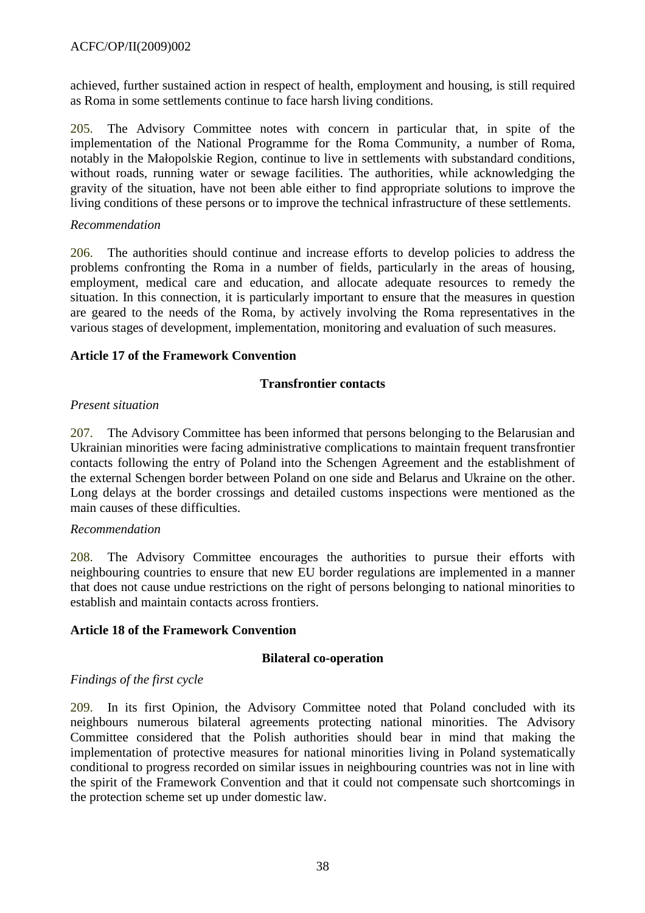achieved, further sustained action in respect of health, employment and housing, is still required as Roma in some settlements continue to face harsh living conditions.

205. The Advisory Committee notes with concern in particular that, in spite of the implementation of the National Programme for the Roma Community, a number of Roma, notably in the Małopolskie Region, continue to live in settlements with substandard conditions, without roads, running water or sewage facilities. The authorities, while acknowledging the gravity of the situation, have not been able either to find appropriate solutions to improve the living conditions of these persons or to improve the technical infrastructure of these settlements.

### *Recommendation*

206. The authorities should continue and increase efforts to develop policies to address the problems confronting the Roma in a number of fields, particularly in the areas of housing, employment, medical care and education, and allocate adequate resources to remedy the situation. In this connection, it is particularly important to ensure that the measures in question are geared to the needs of the Roma, by actively involving the Roma representatives in the various stages of development, implementation, monitoring and evaluation of such measures.

# **Article 17 of the Framework Convention**

### **Transfrontier contacts**

### *Present situation*

207. The Advisory Committee has been informed that persons belonging to the Belarusian and Ukrainian minorities were facing administrative complications to maintain frequent transfrontier contacts following the entry of Poland into the Schengen Agreement and the establishment of the external Schengen border between Poland on one side and Belarus and Ukraine on the other. Long delays at the border crossings and detailed customs inspections were mentioned as the main causes of these difficulties.

#### *Recommendation*

208. The Advisory Committee encourages the authorities to pursue their efforts with neighbouring countries to ensure that new EU border regulations are implemented in a manner that does not cause undue restrictions on the right of persons belonging to national minorities to establish and maintain contacts across frontiers.

#### **Article 18 of the Framework Convention**

#### **Bilateral co-operation**

# *Findings of the first cycle*

209. In its first Opinion, the Advisory Committee noted that Poland concluded with its neighbours numerous bilateral agreements protecting national minorities. The Advisory Committee considered that the Polish authorities should bear in mind that making the implementation of protective measures for national minorities living in Poland systematically conditional to progress recorded on similar issues in neighbouring countries was not in line with the spirit of the Framework Convention and that it could not compensate such shortcomings in the protection scheme set up under domestic law.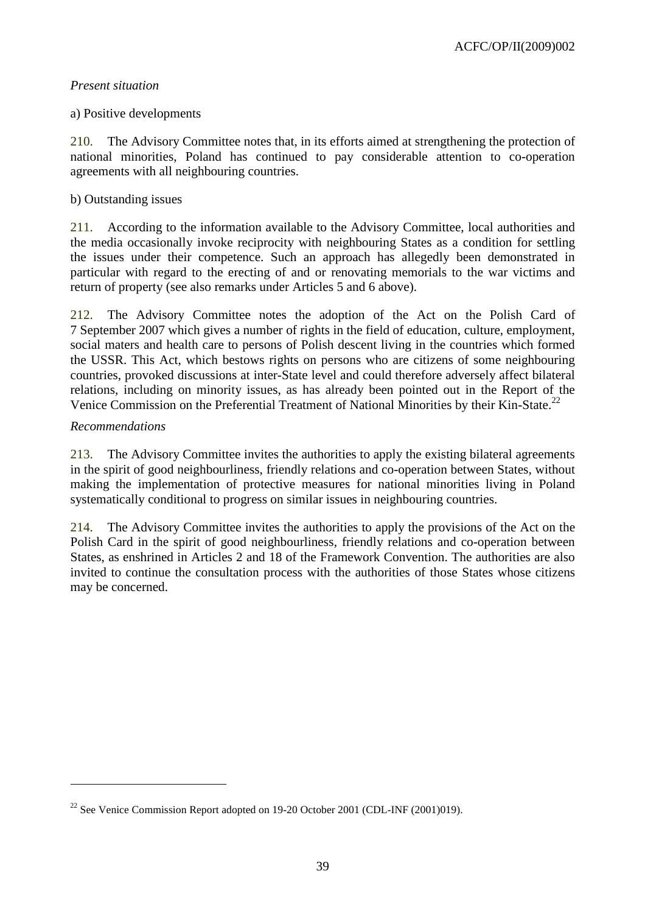### *Present situation*

### a) Positive developments

210. The Advisory Committee notes that, in its efforts aimed at strengthening the protection of national minorities, Poland has continued to pay considerable attention to co-operation agreements with all neighbouring countries.

### b) Outstanding issues

211. According to the information available to the Advisory Committee, local authorities and the media occasionally invoke reciprocity with neighbouring States as a condition for settling the issues under their competence. Such an approach has allegedly been demonstrated in particular with regard to the erecting of and or renovating memorials to the war victims and return of property (see also remarks under Articles 5 and 6 above).

212. The Advisory Committee notes the adoption of the Act on the Polish Card of 7 September 2007 which gives a number of rights in the field of education, culture, employment, social maters and health care to persons of Polish descent living in the countries which formed the USSR. This Act, which bestows rights on persons who are citizens of some neighbouring countries, provoked discussions at inter-State level and could therefore adversely affect bilateral relations, including on minority issues, as has already been pointed out in the Report of the Venice Commission on the Preferential Treatment of National Minorities by their Kin-State.<sup>22</sup>

### *Recommendations*

 $\overline{a}$ 

213. The Advisory Committee invites the authorities to apply the existing bilateral agreements in the spirit of good neighbourliness, friendly relations and co-operation between States, without making the implementation of protective measures for national minorities living in Poland systematically conditional to progress on similar issues in neighbouring countries.

214. The Advisory Committee invites the authorities to apply the provisions of the Act on the Polish Card in the spirit of good neighbourliness, friendly relations and co-operation between States, as enshrined in Articles 2 and 18 of the Framework Convention. The authorities are also invited to continue the consultation process with the authorities of those States whose citizens may be concerned.

<sup>&</sup>lt;sup>22</sup> See Venice Commission Report adopted on 19-20 October 2001 (CDL-INF (2001)019).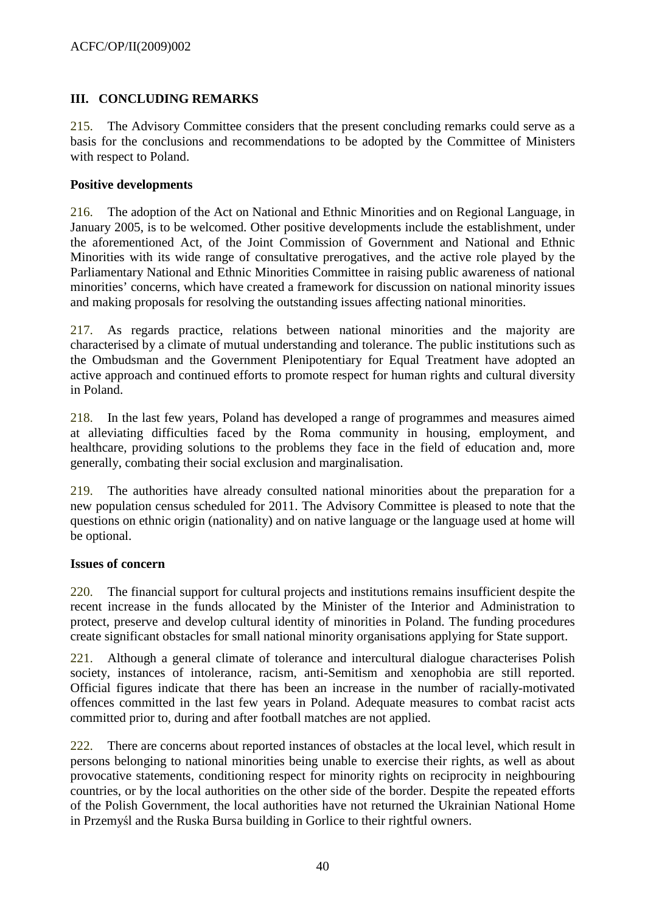# **III. CONCLUDING REMARKS**

215. The Advisory Committee considers that the present concluding remarks could serve as a basis for the conclusions and recommendations to be adopted by the Committee of Ministers with respect to Poland.

### **Positive developments**

216. The adoption of the Act on National and Ethnic Minorities and on Regional Language, in January 2005, is to be welcomed. Other positive developments include the establishment, under the aforementioned Act, of the Joint Commission of Government and National and Ethnic Minorities with its wide range of consultative prerogatives, and the active role played by the Parliamentary National and Ethnic Minorities Committee in raising public awareness of national minorities' concerns, which have created a framework for discussion on national minority issues and making proposals for resolving the outstanding issues affecting national minorities.

217. As regards practice, relations between national minorities and the majority are characterised by a climate of mutual understanding and tolerance. The public institutions such as the Ombudsman and the Government Plenipotentiary for Equal Treatment have adopted an active approach and continued efforts to promote respect for human rights and cultural diversity in Poland.

218. In the last few years, Poland has developed a range of programmes and measures aimed at alleviating difficulties faced by the Roma community in housing, employment, and healthcare, providing solutions to the problems they face in the field of education and, more generally, combating their social exclusion and marginalisation.

219. The authorities have already consulted national minorities about the preparation for a new population census scheduled for 2011. The Advisory Committee is pleased to note that the questions on ethnic origin (nationality) and on native language or the language used at home will be optional.

#### **Issues of concern**

220. The financial support for cultural projects and institutions remains insufficient despite the recent increase in the funds allocated by the Minister of the Interior and Administration to protect, preserve and develop cultural identity of minorities in Poland. The funding procedures create significant obstacles for small national minority organisations applying for State support.

221. Although a general climate of tolerance and intercultural dialogue characterises Polish society, instances of intolerance, racism, anti-Semitism and xenophobia are still reported. Official figures indicate that there has been an increase in the number of racially-motivated offences committed in the last few years in Poland. Adequate measures to combat racist acts committed prior to, during and after football matches are not applied.

222. There are concerns about reported instances of obstacles at the local level, which result in persons belonging to national minorities being unable to exercise their rights, as well as about provocative statements, conditioning respect for minority rights on reciprocity in neighbouring countries, or by the local authorities on the other side of the border. Despite the repeated efforts of the Polish Government, the local authorities have not returned the Ukrainian National Home in Przemyśl and the Ruska Bursa building in Gorlice to their rightful owners.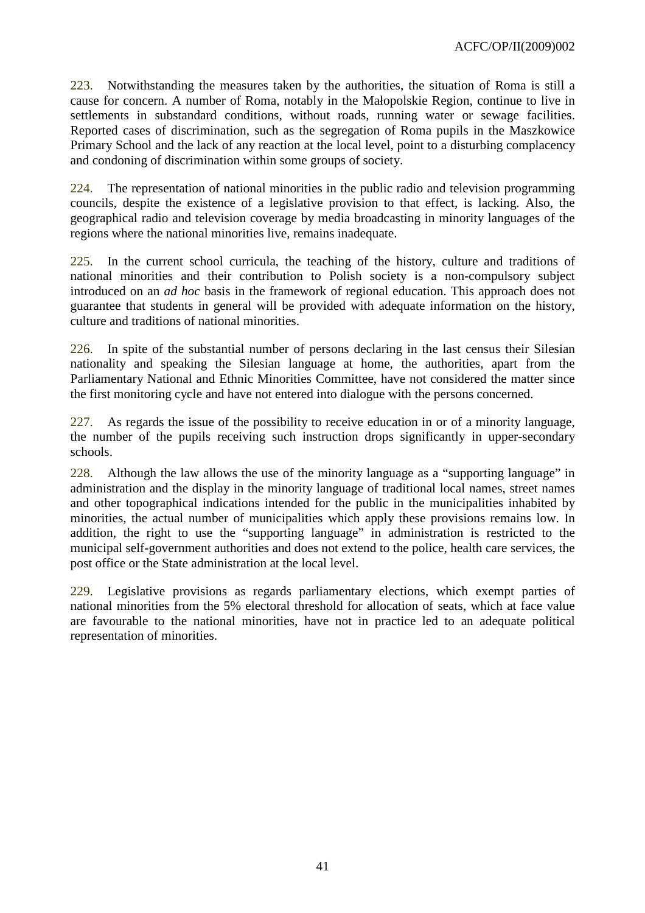223. Notwithstanding the measures taken by the authorities, the situation of Roma is still a cause for concern. A number of Roma, notably in the Małopolskie Region, continue to live in settlements in substandard conditions, without roads, running water or sewage facilities. Reported cases of discrimination, such as the segregation of Roma pupils in the Maszkowice Primary School and the lack of any reaction at the local level, point to a disturbing complacency and condoning of discrimination within some groups of society.

224. The representation of national minorities in the public radio and television programming councils, despite the existence of a legislative provision to that effect, is lacking. Also, the geographical radio and television coverage by media broadcasting in minority languages of the regions where the national minorities live, remains inadequate.

225. In the current school curricula, the teaching of the history, culture and traditions of national minorities and their contribution to Polish society is a non-compulsory subject introduced on an *ad hoc* basis in the framework of regional education. This approach does not guarantee that students in general will be provided with adequate information on the history, culture and traditions of national minorities.

226. In spite of the substantial number of persons declaring in the last census their Silesian nationality and speaking the Silesian language at home, the authorities, apart from the Parliamentary National and Ethnic Minorities Committee, have not considered the matter since the first monitoring cycle and have not entered into dialogue with the persons concerned.

227. As regards the issue of the possibility to receive education in or of a minority language, the number of the pupils receiving such instruction drops significantly in upper-secondary schools.

228. Although the law allows the use of the minority language as a "supporting language" in administration and the display in the minority language of traditional local names, street names and other topographical indications intended for the public in the municipalities inhabited by minorities, the actual number of municipalities which apply these provisions remains low. In addition, the right to use the "supporting language" in administration is restricted to the municipal self-government authorities and does not extend to the police, health care services, the post office or the State administration at the local level.

229. Legislative provisions as regards parliamentary elections, which exempt parties of national minorities from the 5% electoral threshold for allocation of seats, which at face value are favourable to the national minorities, have not in practice led to an adequate political representation of minorities.